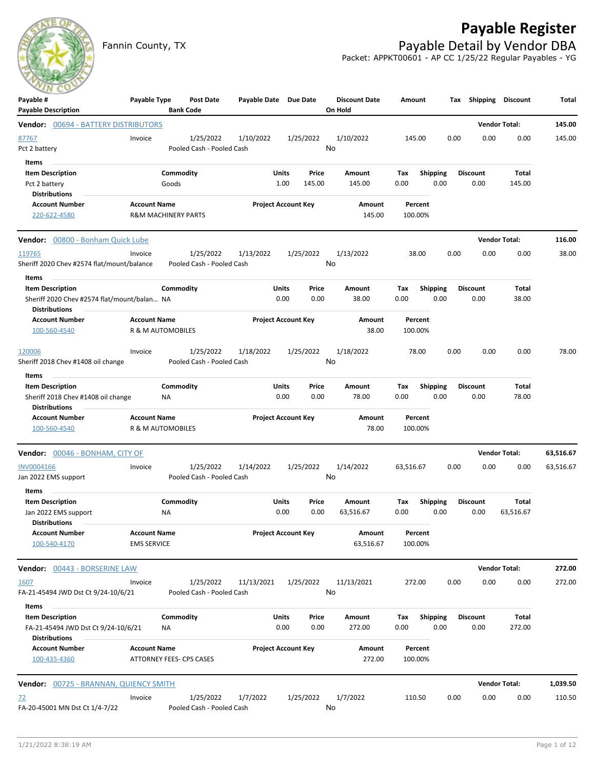## **Payable Register**



Fannin County, TX **Payable Detail by Vendor DBA** Packet: APPKT00601 - AP CC 1/25/22 Regular Payables - YG

| Payable #<br><b>Payable Description</b>                                                         | Payable Type                              | <b>Bank Code</b>               | Post Date                              | Payable Date Due Date |                            |                 | <b>Discount Date</b><br>On Hold | Amount             |                         |      | Tax Shipping Discount   |                      | Total     |
|-------------------------------------------------------------------------------------------------|-------------------------------------------|--------------------------------|----------------------------------------|-----------------------|----------------------------|-----------------|---------------------------------|--------------------|-------------------------|------|-------------------------|----------------------|-----------|
| Vendor: 00694 - BATTERY DISTRIBUTORS                                                            |                                           |                                |                                        |                       |                            |                 |                                 |                    |                         |      |                         | <b>Vendor Total:</b> | 145.00    |
| 87767<br>Pct 2 battery                                                                          | Invoice                                   |                                | 1/25/2022<br>Pooled Cash - Pooled Cash | 1/10/2022             |                            | 1/25/2022       | 1/10/2022<br>No                 | 145.00             |                         | 0.00 | 0.00                    | 0.00                 | 145.00    |
| Items<br><b>Item Description</b><br>Pct 2 battery<br><b>Distributions</b>                       |                                           | Commodity<br>Goods             |                                        |                       | Units<br>1.00              | Price<br>145.00 | Amount<br>145.00                | Tax<br>0.00        | <b>Shipping</b><br>0.00 |      | <b>Discount</b><br>0.00 | Total<br>145.00      |           |
| <b>Account Number</b><br>220-622-4580                                                           | <b>Account Name</b>                       | <b>R&amp;M MACHINERY PARTS</b> |                                        |                       | <b>Project Account Key</b> |                 | Amount<br>145.00                | Percent<br>100.00% |                         |      |                         |                      |           |
| Vendor: 00800 - Bonham Quick Lube                                                               |                                           |                                |                                        |                       |                            |                 |                                 |                    |                         |      |                         | <b>Vendor Total:</b> | 116.00    |
| 119765<br>Sheriff 2020 Chev #2574 flat/mount/balance<br>Items                                   | Invoice                                   |                                | 1/25/2022<br>Pooled Cash - Pooled Cash | 1/13/2022             |                            | 1/25/2022       | 1/13/2022<br>No                 | 38.00              |                         | 0.00 | 0.00                    | 0.00                 | 38.00     |
| <b>Item Description</b><br>Sheriff 2020 Chev #2574 flat/mount/balan NA<br><b>Distributions</b>  |                                           | Commodity                      |                                        |                       | Units<br>0.00              | Price<br>0.00   | Amount<br>38.00                 | Tax<br>0.00        | Shipping<br>0.00        |      | <b>Discount</b><br>0.00 | Total<br>38.00       |           |
| <b>Account Number</b><br>100-560-4540                                                           | <b>Account Name</b>                       | R & M AUTOMOBILES              |                                        |                       | <b>Project Account Key</b> |                 | Amount<br>38.00                 | Percent<br>100.00% |                         |      |                         |                      |           |
| 120006<br>Sheriff 2018 Chev #1408 oil change<br>Items                                           | Invoice                                   |                                | 1/25/2022<br>Pooled Cash - Pooled Cash | 1/18/2022             |                            | 1/25/2022       | 1/18/2022<br>No                 | 78.00              |                         | 0.00 | 0.00                    | 0.00                 | 78.00     |
| <b>Item Description</b><br>Sheriff 2018 Chev #1408 oil change<br>Distributions                  |                                           | Commodity<br>ΝA                |                                        |                       | Units<br>0.00              | Price<br>0.00   | Amount<br>78.00                 | Tax<br>0.00        | <b>Shipping</b><br>0.00 |      | <b>Discount</b><br>0.00 | Total<br>78.00       |           |
| <b>Account Number</b><br>100-560-4540                                                           | <b>Account Name</b>                       | R & M AUTOMOBILES              |                                        |                       | <b>Project Account Key</b> |                 | Amount<br>78.00                 | Percent<br>100.00% |                         |      |                         |                      |           |
| Vendor: 00046 - BONHAM, CITY OF                                                                 |                                           |                                |                                        |                       |                            |                 |                                 |                    |                         |      |                         | <b>Vendor Total:</b> | 63,516.67 |
| INV0004166<br>Jan 2022 EMS support<br>Items                                                     | Invoice                                   |                                | 1/25/2022<br>Pooled Cash - Pooled Cash | 1/14/2022             |                            | 1/25/2022       | 1/14/2022<br>No                 | 63,516.67          |                         | 0.00 | 0.00                    | 0.00                 | 63,516.67 |
| <b>Item Description</b><br>Jan 2022 EMS support<br><b>Distributions</b>                         |                                           | Commodity<br>ΝA                |                                        |                       | Units<br>0.00              | Price<br>0.00   | Amount<br>63,516.67             | Tax<br>0.00        | <b>Shipping</b><br>0.00 |      | <b>Discount</b><br>0.00 | Total<br>63,516.67   |           |
| <b>Account Number</b><br>100-540-4170                                                           | <b>Account Name</b><br><b>EMS SERVICE</b> |                                |                                        |                       | <b>Project Account Key</b> |                 | Amount<br>63,516.67             | Percent<br>100.00% |                         |      |                         |                      |           |
| Vendor: 00443 - BORSERINE LAW                                                                   |                                           |                                |                                        |                       |                            |                 |                                 |                    |                         |      |                         | <b>Vendor Total:</b> | 272.00    |
| 1607<br>FA-21-45494 JWD Dst Ct 9/24-10/6/21                                                     | Invoice                                   |                                | 1/25/2022<br>Pooled Cash - Pooled Cash | 11/13/2021            |                            | 1/25/2022       | 11/13/2021<br>No                | 272.00             |                         | 0.00 | 0.00                    | 0.00                 | 272.00    |
| Items<br><b>Item Description</b><br>FA-21-45494 JWD Dst Ct 9/24-10/6/21<br><b>Distributions</b> |                                           | Commodity<br>NA                |                                        |                       | Units<br>0.00              | Price<br>0.00   | Amount<br>272.00                | Tax<br>0.00        | Shipping<br>0.00        |      | <b>Discount</b><br>0.00 | Total<br>272.00      |           |
| <b>Account Number</b><br>100-435-4360                                                           | <b>Account Name</b>                       | ATTORNEY FEES- CPS CASES       |                                        |                       | <b>Project Account Key</b> |                 | Amount<br>272.00                | Percent<br>100.00% |                         |      |                         |                      |           |
| <b>Vendor: 00725 - BRANNAN, QUIENCY SMITH</b>                                                   |                                           |                                |                                        |                       |                            |                 |                                 |                    |                         |      |                         | <b>Vendor Total:</b> | 1,039.50  |
| $\overline{22}$<br>FA-20-45001 MN Dst Ct 1/4-7/22                                               | Invoice                                   |                                | 1/25/2022<br>Pooled Cash - Pooled Cash | 1/7/2022              |                            | 1/25/2022       | 1/7/2022<br>No                  | 110.50             |                         | 0.00 | 0.00                    | 0.00                 | 110.50    |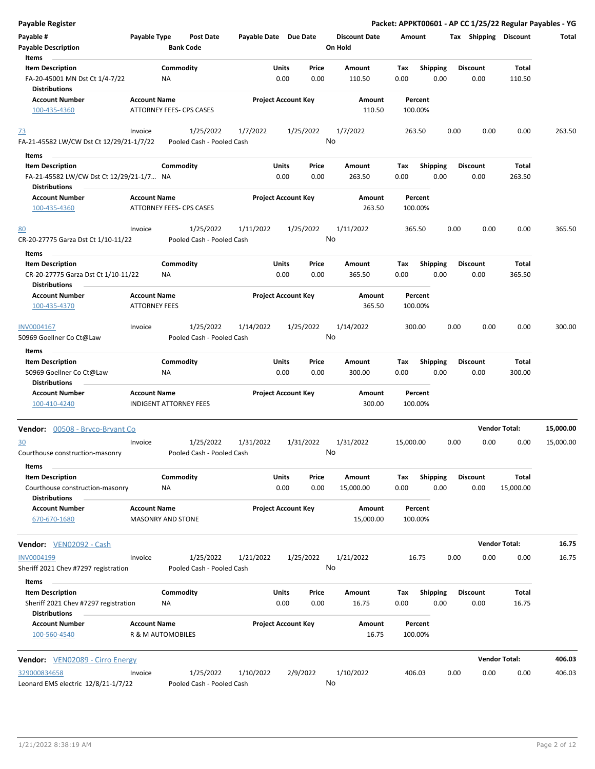| <b>Payable Register</b>                                                                 |                                                      |                 |                                        |                       |               |                            |               |                                 |             |                    |      |      |                         |                 | Packet: APPKT00601 - AP CC 1/25/22 Regular Payables - YG |
|-----------------------------------------------------------------------------------------|------------------------------------------------------|-----------------|----------------------------------------|-----------------------|---------------|----------------------------|---------------|---------------------------------|-------------|--------------------|------|------|-------------------------|-----------------|----------------------------------------------------------|
| Payable #<br><b>Payable Description</b>                                                 | Payable Type                                         |                 | <b>Post Date</b><br><b>Bank Code</b>   | Payable Date Due Date |               |                            |               | <b>Discount Date</b><br>On Hold | Amount      |                    |      |      | Tax Shipping Discount   |                 | Total                                                    |
| Items                                                                                   |                                                      |                 |                                        |                       |               |                            |               |                                 |             |                    |      |      |                         |                 |                                                          |
| <b>Item Description</b><br>FA-20-45001 MN Dst Ct 1/4-7/22<br><b>Distributions</b>       |                                                      | Commodity<br>NA |                                        |                       | Units<br>0.00 |                            | Price<br>0.00 | Amount<br>110.50                | Tax<br>0.00 | <b>Shipping</b>    | 0.00 |      | <b>Discount</b><br>0.00 | Total<br>110.50 |                                                          |
| <b>Account Number</b>                                                                   | <b>Account Name</b>                                  |                 |                                        |                       |               | <b>Project Account Key</b> |               | Amount                          |             | Percent            |      |      |                         |                 |                                                          |
| 100-435-4360                                                                            |                                                      |                 | ATTORNEY FEES- CPS CASES               |                       |               |                            |               | 110.50                          |             | 100.00%            |      |      |                         |                 |                                                          |
| <u>73</u><br>FA-21-45582 LW/CW Dst Ct 12/29/21-1/7/22                                   | Invoice                                              |                 | 1/25/2022<br>Pooled Cash - Pooled Cash | 1/7/2022              |               | 1/25/2022                  | No            | 1/7/2022                        | 263.50      |                    |      | 0.00 | 0.00                    | 0.00            | 263.50                                                   |
| Items                                                                                   |                                                      |                 |                                        |                       |               |                            |               |                                 |             |                    |      |      |                         |                 |                                                          |
| <b>Item Description</b>                                                                 |                                                      | Commodity       |                                        |                       | <b>Units</b>  |                            | Price         | Amount                          | Tax         | <b>Shipping</b>    |      |      | <b>Discount</b>         | Total           |                                                          |
| FA-21-45582 LW/CW Dst Ct 12/29/21-1/7 NA<br><b>Distributions</b>                        |                                                      |                 |                                        |                       | 0.00          |                            | 0.00          | 263.50                          | 0.00        |                    | 0.00 |      | 0.00                    | 263.50          |                                                          |
| <b>Account Number</b><br>100-435-4360                                                   | <b>Account Name</b>                                  |                 | ATTORNEY FEES- CPS CASES               |                       |               | <b>Project Account Key</b> |               | Amount<br>263.50                |             | Percent<br>100.00% |      |      |                         |                 |                                                          |
| 80<br>CR-20-27775 Garza Dst Ct 1/10-11/22                                               | Invoice                                              |                 | 1/25/2022<br>Pooled Cash - Pooled Cash | 1/11/2022             |               | 1/25/2022                  | No            | 1/11/2022                       | 365.50      |                    |      | 0.00 | 0.00                    | 0.00            | 365.50                                                   |
| Items                                                                                   |                                                      |                 |                                        |                       |               |                            |               |                                 |             |                    |      |      |                         |                 |                                                          |
| <b>Item Description</b><br>CR-20-27775 Garza Dst Ct 1/10-11/22                          |                                                      | Commodity<br>ΝA |                                        |                       | Units<br>0.00 |                            | Price<br>0.00 | Amount<br>365.50                | Tax<br>0.00 | <b>Shipping</b>    | 0.00 |      | <b>Discount</b><br>0.00 | Total<br>365.50 |                                                          |
| <b>Distributions</b>                                                                    |                                                      |                 |                                        |                       |               |                            |               |                                 |             |                    |      |      |                         |                 |                                                          |
| <b>Account Number</b><br>100-435-4370                                                   | <b>Account Name</b><br><b>ATTORNEY FEES</b>          |                 |                                        |                       |               | <b>Project Account Key</b> |               | Amount<br>365.50                |             | Percent<br>100.00% |      |      |                         |                 |                                                          |
| INV0004167                                                                              | Invoice                                              |                 | 1/25/2022                              | 1/14/2022             |               | 1/25/2022                  |               | 1/14/2022                       | 300.00      |                    |      | 0.00 | 0.00                    | 0.00            | 300.00                                                   |
| 50969 Goellner Co Ct@Law<br>Items                                                       |                                                      |                 | Pooled Cash - Pooled Cash              |                       |               |                            | No            |                                 |             |                    |      |      |                         |                 |                                                          |
| <b>Item Description</b>                                                                 |                                                      | Commodity       |                                        |                       | <b>Units</b>  |                            | Price         | Amount                          | Tax         | <b>Shipping</b>    |      |      | <b>Discount</b>         | Total           |                                                          |
| 50969 Goellner Co Ct@Law<br><b>Distributions</b>                                        |                                                      | <b>NA</b>       |                                        |                       | 0.00          |                            | 0.00          | 300.00                          | 0.00        |                    | 0.00 |      | 0.00                    | 300.00          |                                                          |
| <b>Account Number</b><br>100-410-4240                                                   | <b>Account Name</b><br><b>INDIGENT ATTORNEY FEES</b> |                 |                                        |                       |               | <b>Project Account Key</b> |               | Amount<br>300.00                |             | Percent<br>100.00% |      |      |                         |                 |                                                          |
| Vendor: 00508 - Bryco-Bryant Co                                                         |                                                      |                 |                                        |                       |               |                            |               |                                 |             |                    |      |      | <b>Vendor Total:</b>    |                 | 15,000.00                                                |
| 30                                                                                      | Invoice                                              |                 | 1/25/2022                              | 1/31/2022             |               | 1/31/2022                  |               | 1/31/2022                       | 15,000.00   |                    |      | 0.00 | 0.00                    | 0.00            | 15,000.00                                                |
| Courthouse construction-masonry<br>Items                                                |                                                      |                 | Pooled Cash - Pooled Cash              |                       |               |                            | No            |                                 |             |                    |      |      |                         |                 |                                                          |
| <b>Item Description</b>                                                                 |                                                      | Commodity       |                                        |                       | Units         |                            | Price         | Amount                          | Tax         | <b>Shipping</b>    |      |      | <b>Discount</b>         | Total           |                                                          |
| Courthouse construction-masonry<br><b>Distributions</b>                                 |                                                      | ΝA              |                                        |                       | 0.00          |                            | 0.00          | 15,000.00                       | 0.00        |                    | 0.00 |      | 0.00                    | 15,000.00       |                                                          |
| <b>Account Number</b><br>670-670-1680                                                   | <b>Account Name</b><br><b>MASONRY AND STONE</b>      |                 |                                        |                       |               | <b>Project Account Key</b> |               | Amount<br>15,000.00             |             | Percent<br>100.00% |      |      |                         |                 |                                                          |
| Vendor: VEN02092 - Cash                                                                 |                                                      |                 |                                        |                       |               |                            |               |                                 |             |                    |      |      | <b>Vendor Total:</b>    |                 | 16.75                                                    |
| INV0004199<br>Sheriff 2021 Chev #7297 registration                                      | Invoice                                              |                 | 1/25/2022<br>Pooled Cash - Pooled Cash | 1/21/2022             |               | 1/25/2022                  | No            | 1/21/2022                       |             | 16.75              |      | 0.00 | 0.00                    | 0.00            | 16.75                                                    |
| Items                                                                                   |                                                      |                 |                                        |                       |               |                            |               |                                 |             |                    |      |      |                         |                 |                                                          |
| <b>Item Description</b><br>Sheriff 2021 Chev #7297 registration<br><b>Distributions</b> |                                                      | Commodity<br>NA |                                        |                       | Units<br>0.00 |                            | Price<br>0.00 | Amount<br>16.75                 | Tax<br>0.00 | <b>Shipping</b>    | 0.00 |      | <b>Discount</b><br>0.00 | Total<br>16.75  |                                                          |
| <b>Account Number</b><br>100-560-4540                                                   | <b>Account Name</b><br>R & M AUTOMOBILES             |                 |                                        |                       |               | <b>Project Account Key</b> |               | Amount<br>16.75                 |             | Percent<br>100.00% |      |      |                         |                 |                                                          |
| <b>Vendor:</b> VEN02089 - Cirro Energy                                                  |                                                      |                 |                                        |                       |               |                            |               |                                 |             |                    |      |      | <b>Vendor Total:</b>    |                 | 406.03                                                   |
| 329000834658<br>Leonard EMS electric 12/8/21-1/7/22                                     | Invoice                                              |                 | 1/25/2022<br>Pooled Cash - Pooled Cash | 1/10/2022             |               | 2/9/2022                   | No            | 1/10/2022                       | 406.03      |                    |      | 0.00 | 0.00                    | 0.00            | 406.03                                                   |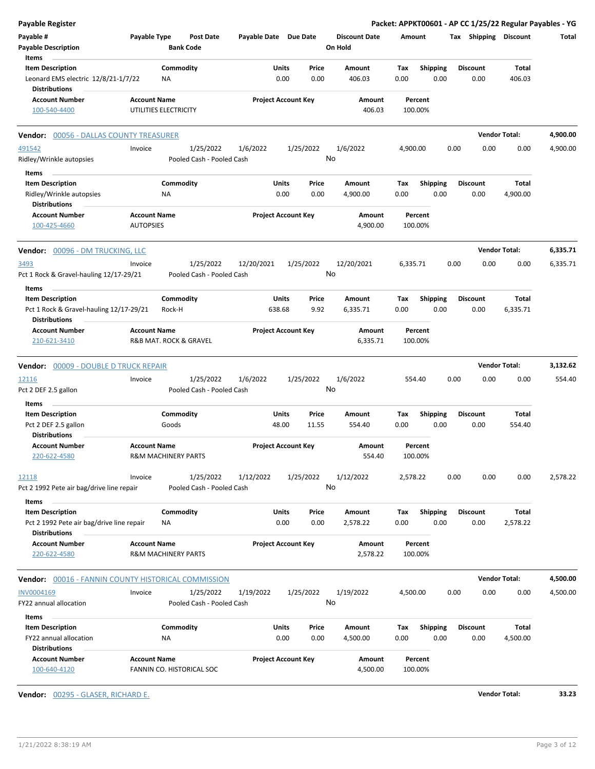| <b>Payable Register</b>                                           |                                |                                      |                       |                            |                                 |                    |                 |      |                       |                      | Packet: APPKT00601 - AP CC 1/25/22 Regular Payables - YG |
|-------------------------------------------------------------------|--------------------------------|--------------------------------------|-----------------------|----------------------------|---------------------------------|--------------------|-----------------|------|-----------------------|----------------------|----------------------------------------------------------|
| Payable #<br><b>Payable Description</b>                           | Payable Type                   | <b>Post Date</b><br><b>Bank Code</b> | Payable Date Due Date |                            | <b>Discount Date</b><br>On Hold | Amount             |                 |      | Tax Shipping Discount |                      | Total                                                    |
| Items                                                             |                                |                                      |                       |                            |                                 |                    |                 |      |                       |                      |                                                          |
| <b>Item Description</b>                                           |                                | Commodity                            | Units                 | Price                      | Amount                          | Tax                | <b>Shipping</b> |      | <b>Discount</b>       | Total                |                                                          |
| Leonard EMS electric 12/8/21-1/7/22                               | <b>NA</b>                      |                                      | 0.00                  | 0.00                       | 406.03                          | 0.00               | 0.00            |      | 0.00                  | 406.03               |                                                          |
| <b>Distributions</b>                                              |                                |                                      |                       |                            |                                 |                    |                 |      |                       |                      |                                                          |
| <b>Account Number</b>                                             | <b>Account Name</b>            |                                      |                       | <b>Project Account Key</b> | Amount                          | Percent            |                 |      |                       |                      |                                                          |
| 100-540-4400                                                      | UTILITIES ELECTRICITY          |                                      |                       |                            | 406.03                          | 100.00%            |                 |      |                       |                      |                                                          |
| <b>Vendor: 00056 - DALLAS COUNTY TREASURER</b>                    |                                |                                      |                       |                            |                                 |                    |                 |      |                       | <b>Vendor Total:</b> | 4,900.00                                                 |
| 491542                                                            | Invoice                        | 1/25/2022                            | 1/6/2022              | 1/25/2022                  | 1/6/2022                        | 4,900.00           |                 | 0.00 | 0.00                  | 0.00                 | 4,900.00                                                 |
| Ridley/Wrinkle autopsies                                          |                                | Pooled Cash - Pooled Cash            |                       |                            | No                              |                    |                 |      |                       |                      |                                                          |
| Items                                                             |                                |                                      |                       |                            |                                 |                    |                 |      |                       |                      |                                                          |
| <b>Item Description</b>                                           |                                | Commodity                            | Units                 | Price                      | Amount                          | Тах                | <b>Shipping</b> |      | <b>Discount</b>       | Total                |                                                          |
| Ridley/Wrinkle autopsies<br><b>Distributions</b>                  | ΝA                             |                                      |                       | 0.00<br>0.00               | 4,900.00                        | 0.00               | 0.00            |      | 0.00                  | 4,900.00             |                                                          |
| <b>Account Number</b>                                             | <b>Account Name</b>            |                                      |                       | <b>Project Account Key</b> | Amount                          | Percent            |                 |      |                       |                      |                                                          |
| 100-425-4660                                                      | <b>AUTOPSIES</b>               |                                      |                       |                            | 4,900.00                        | 100.00%            |                 |      |                       |                      |                                                          |
| Vendor: 00096 - DM TRUCKING, LLC                                  |                                |                                      |                       |                            |                                 |                    |                 |      |                       | <b>Vendor Total:</b> | 6,335.71                                                 |
| 3493                                                              | Invoice                        | 1/25/2022                            | 12/20/2021            | 1/25/2022                  | 12/20/2021                      | 6,335.71           |                 | 0.00 | 0.00                  | 0.00                 | 6,335.71                                                 |
| Pct 1 Rock & Gravel-hauling 12/17-29/21                           |                                | Pooled Cash - Pooled Cash            |                       |                            | No                              |                    |                 |      |                       |                      |                                                          |
| Items                                                             |                                |                                      |                       |                            |                                 |                    |                 |      |                       |                      |                                                          |
| <b>Item Description</b>                                           |                                | Commodity                            | Units                 | Price                      | Amount                          | Тах                | <b>Shipping</b> |      | <b>Discount</b>       | Total                |                                                          |
| Pct 1 Rock & Gravel-hauling 12/17-29/21<br><b>Distributions</b>   | Rock-H                         |                                      | 638.68                | 9.92                       | 6,335.71                        | 0.00               | 0.00            |      | 0.00                  | 6,335.71             |                                                          |
| <b>Account Number</b>                                             | <b>Account Name</b>            |                                      |                       | <b>Project Account Key</b> | Amount                          | Percent            |                 |      |                       |                      |                                                          |
| 210-621-3410                                                      | R&B MAT. ROCK & GRAVEL         |                                      |                       |                            | 6,335.71                        | 100.00%            |                 |      |                       |                      |                                                          |
| Vendor: 00009 - DOUBLE D TRUCK REPAIR                             |                                |                                      |                       |                            |                                 |                    |                 |      |                       | <b>Vendor Total:</b> | 3,132.62                                                 |
| 12116                                                             | Invoice                        | 1/25/2022                            | 1/6/2022              | 1/25/2022                  | 1/6/2022                        | 554.40             |                 | 0.00 | 0.00                  | 0.00                 | 554.40                                                   |
| Pct 2 DEF 2.5 gallon                                              |                                | Pooled Cash - Pooled Cash            |                       |                            | No                              |                    |                 |      |                       |                      |                                                          |
| Items                                                             |                                |                                      |                       |                            |                                 |                    |                 |      |                       |                      |                                                          |
| <b>Item Description</b>                                           |                                | Commodity                            | Units                 | Price                      | Amount                          | Tax                | <b>Shipping</b> |      | <b>Discount</b>       | Total                |                                                          |
| Pct 2 DEF 2.5 gallon                                              | Goods                          |                                      | 48.00                 | 11.55                      | 554.40                          | 0.00               | 0.00            |      | 0.00                  | 554.40               |                                                          |
| <b>Distributions</b>                                              |                                |                                      |                       |                            |                                 |                    |                 |      |                       |                      |                                                          |
| <b>Account Number</b>                                             | <b>Account Name</b>            |                                      |                       | <b>Project Account Key</b> | Amount                          | Percent            |                 |      |                       |                      |                                                          |
| 220-622-4580                                                      | R&M MACHINERY PARTS            |                                      |                       |                            | 554.40                          | 100.00%            |                 |      |                       |                      |                                                          |
| 12118                                                             | Invoice                        | 1/25/2022                            | 1/12/2022             | 1/25/2022                  | 1/12/2022                       | 2,578.22           |                 | 0.00 | 0.00                  | 0.00                 | 2,578.22                                                 |
| Pct 2 1992 Pete air bag/drive line repair                         |                                | Pooled Cash - Pooled Cash            |                       |                            | No                              |                    |                 |      |                       |                      |                                                          |
| Items                                                             |                                |                                      |                       |                            |                                 |                    |                 |      |                       |                      |                                                          |
| <b>Item Description</b>                                           |                                | Commodity                            | Units                 | Price                      | Amount                          | Tax                | <b>Shipping</b> |      | <b>Discount</b>       | Total                |                                                          |
| Pct 2 1992 Pete air bag/drive line repair<br><b>Distributions</b> | ΝA                             |                                      |                       | 0.00<br>0.00               | 2,578.22                        | 0.00               | 0.00            |      | 0.00                  | 2,578.22             |                                                          |
| <b>Account Number</b>                                             | <b>Account Name</b>            |                                      |                       | <b>Project Account Key</b> | Amount                          | Percent            |                 |      |                       |                      |                                                          |
| 220-622-4580                                                      | <b>R&amp;M MACHINERY PARTS</b> |                                      |                       |                            | 2,578.22                        | 100.00%            |                 |      |                       |                      |                                                          |
|                                                                   |                                |                                      |                       |                            |                                 |                    |                 |      |                       |                      |                                                          |
| Vendor: 00016 - FANNIN COUNTY HISTORICAL COMMISSION               |                                |                                      |                       |                            |                                 |                    |                 |      |                       | <b>Vendor Total:</b> | 4,500.00                                                 |
| INV0004169                                                        | Invoice                        | 1/25/2022                            | 1/19/2022             | 1/25/2022                  | 1/19/2022                       | 4,500.00           |                 | 0.00 | 0.00                  | 0.00                 | 4,500.00                                                 |
| FY22 annual allocation                                            |                                | Pooled Cash - Pooled Cash            |                       |                            | No                              |                    |                 |      |                       |                      |                                                          |
| Items                                                             |                                |                                      |                       |                            |                                 |                    |                 |      |                       |                      |                                                          |
| <b>Item Description</b>                                           |                                | Commodity                            | <b>Units</b>          | Price                      | Amount                          | Tax                | Shipping        |      | <b>Discount</b>       | Total                |                                                          |
| FY22 annual allocation                                            | NA                             |                                      |                       | 0.00<br>0.00               | 4,500.00                        | 0.00               | 0.00            |      | 0.00                  | 4,500.00             |                                                          |
| <b>Distributions</b>                                              |                                |                                      |                       |                            |                                 |                    |                 |      |                       |                      |                                                          |
| <b>Account Number</b><br>100-640-4120                             | <b>Account Name</b>            | FANNIN CO. HISTORICAL SOC            |                       | <b>Project Account Key</b> | Amount<br>4,500.00              | Percent<br>100.00% |                 |      |                       |                      |                                                          |
|                                                                   |                                |                                      |                       |                            |                                 |                    |                 |      |                       |                      |                                                          |

**Vendor:** 00295 - GLASER, RICHARD E. **Vendor Total: 33.23**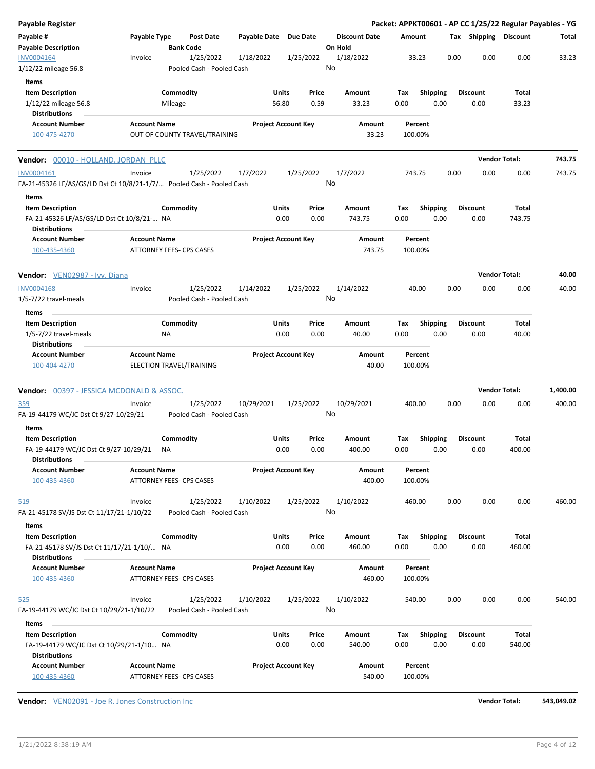| Payable Register                                                                    |                     |                                        |                            |                            |                                 | Packet: APPKT00601 - AP CC 1/25/22 Regular Payables - YG |                         |                         |                      |          |
|-------------------------------------------------------------------------------------|---------------------|----------------------------------------|----------------------------|----------------------------|---------------------------------|----------------------------------------------------------|-------------------------|-------------------------|----------------------|----------|
| Payable #<br>Payable Description                                                    | Payable Type        | Post Date<br><b>Bank Code</b>          | Payable Date               | Due Date                   | <b>Discount Date</b><br>On Hold | Amount                                                   |                         | Tax Shipping Discount   |                      | Total    |
| INV0004164<br>1/12/22 mileage 56.8                                                  | Invoice             | 1/25/2022<br>Pooled Cash - Pooled Cash | 1/18/2022                  | 1/25/2022                  | 1/18/2022<br>No                 | 33.23                                                    | 0.00                    | 0.00                    | 0.00                 | 33.23    |
| Items                                                                               |                     |                                        |                            |                            |                                 |                                                          |                         |                         |                      |          |
| <b>Item Description</b>                                                             |                     | Commodity                              | Units                      | Price                      | Amount                          | Tax                                                      | Shipping                | <b>Discount</b>         | Total                |          |
| 1/12/22 mileage 56.8<br><b>Distributions</b>                                        |                     | Mileage                                | 56.80                      | 0.59                       | 33.23                           | 0.00                                                     | 0.00                    | 0.00                    | 33.23                |          |
| <b>Account Number</b>                                                               | <b>Account Name</b> |                                        | <b>Project Account Key</b> |                            | <b>Amount</b>                   | Percent                                                  |                         |                         |                      |          |
| 100-475-4270                                                                        |                     | OUT OF COUNTY TRAVEL/TRAINING          |                            |                            | 33.23                           | 100.00%                                                  |                         |                         |                      |          |
| <b>Vendor:</b> 00010 - HOLLAND, JORDAN PLLC                                         |                     |                                        |                            |                            |                                 |                                                          |                         |                         | <b>Vendor Total:</b> | 743.75   |
| INV0004161<br>FA-21-45326 LF/AS/GS/LD Dst Ct 10/8/21-1/7/ Pooled Cash - Pooled Cash | Invoice             | 1/25/2022                              | 1/7/2022                   | 1/25/2022                  | 1/7/2022<br>No                  | 743.75                                                   | 0.00                    | 0.00                    | 0.00                 | 743.75   |
| Items                                                                               |                     |                                        |                            |                            |                                 |                                                          |                         |                         |                      |          |
| <b>Item Description</b>                                                             |                     | Commodity                              | Units<br>0.00              | Price<br>0.00              | Amount<br>743.75                | Tax<br>0.00                                              | <b>Shipping</b><br>0.00 | <b>Discount</b><br>0.00 | Total<br>743.75      |          |
| FA-21-45326 LF/AS/GS/LD Dst Ct 10/8/21- NA<br><b>Distributions</b>                  |                     |                                        |                            |                            |                                 |                                                          |                         |                         |                      |          |
| <b>Account Number</b>                                                               | <b>Account Name</b> |                                        | <b>Project Account Key</b> |                            | Amount                          | Percent                                                  |                         |                         |                      |          |
| 100-435-4360                                                                        |                     | <b>ATTORNEY FEES- CPS CASES</b>        |                            |                            | 743.75                          | 100.00%                                                  |                         |                         |                      |          |
| Vendor: VEN02987 - Ivy, Diana                                                       |                     |                                        |                            |                            |                                 |                                                          |                         |                         | <b>Vendor Total:</b> | 40.00    |
| <b>INV0004168</b>                                                                   | Invoice             | 1/25/2022                              | 1/14/2022                  | 1/25/2022                  | 1/14/2022                       | 40.00                                                    | 0.00                    | 0.00                    | 0.00                 | 40.00    |
| 1/5-7/22 travel-meals                                                               |                     | Pooled Cash - Pooled Cash              |                            |                            | No                              |                                                          |                         |                         |                      |          |
| Items                                                                               |                     |                                        |                            |                            |                                 |                                                          |                         |                         |                      |          |
| <b>Item Description</b>                                                             |                     | Commodity                              | Units                      | Price                      | Amount                          | Tax                                                      | <b>Shipping</b>         | <b>Discount</b>         | <b>Total</b>         |          |
| $1/5 - 7/22$ travel-meals                                                           |                     | ΝA                                     | 0.00                       | 0.00                       | 40.00                           | 0.00                                                     | 0.00                    | 0.00                    | 40.00                |          |
| <b>Distributions</b>                                                                |                     |                                        |                            |                            |                                 |                                                          |                         |                         |                      |          |
| <b>Account Number</b><br>100-404-4270                                               | <b>Account Name</b> | ELECTION TRAVEL/TRAINING               |                            | <b>Project Account Key</b> | Amount<br>40.00                 | Percent<br>100.00%                                       |                         |                         |                      |          |
| <b>Vendor:</b> 00397 - JESSICA MCDONALD & ASSOC.                                    |                     |                                        |                            |                            |                                 |                                                          |                         |                         | <b>Vendor Total:</b> | 1,400.00 |
| <u>359</u>                                                                          | Invoice             | 1/25/2022                              | 10/29/2021                 | 1/25/2022                  | 10/29/2021                      | 400.00                                                   | 0.00                    | 0.00                    | 0.00                 | 400.00   |
| FA-19-44179 WC/JC Dst Ct 9/27-10/29/21                                              |                     | Pooled Cash - Pooled Cash              |                            |                            | No                              |                                                          |                         |                         |                      |          |
| Items                                                                               |                     |                                        |                            |                            |                                 |                                                          |                         |                         |                      |          |
| <b>Item Description</b>                                                             |                     | Commodity                              | Units                      | Price                      | Amount                          | Tax                                                      | <b>Shipping</b>         | <b>Discount</b>         | Total                |          |
| FA-19-44179 WC/JC Dst Ct 9/27-10/29/21<br><b>Distributions</b>                      |                     | ΝA                                     | 0.00                       | 0.00                       | 400.00                          | 0.00                                                     | 0.00                    | 0.00                    | 400.00               |          |
| <b>Account Number</b><br>100-435-4360                                               | <b>Account Name</b> | ATTORNEY FEES- CPS CASES               | <b>Project Account Key</b> |                            | Amount<br>400.00                | Percent<br>100.00%                                       |                         |                         |                      |          |
| <u>519</u>                                                                          | Invoice             | 1/25/2022                              | 1/10/2022                  | 1/25/2022                  | 1/10/2022                       | 460.00                                                   | 0.00                    | 0.00                    | 0.00                 | 460.00   |
| FA-21-45178 SV/JS Dst Ct 11/17/21-1/10/22<br>Items                                  |                     | Pooled Cash - Pooled Cash              |                            |                            | No                              |                                                          |                         |                         |                      |          |
| <b>Item Description</b>                                                             |                     | Commodity                              | Units                      | Price                      | Amount                          | Тах                                                      | <b>Shipping</b>         | <b>Discount</b>         | Total                |          |
| FA-21-45178 SV/JS Dst Ct 11/17/21-1/10/ NA<br><b>Distributions</b>                  |                     |                                        | 0.00                       | 0.00                       | 460.00                          | 0.00                                                     | 0.00                    | 0.00                    | 460.00               |          |
| <b>Account Number</b><br>100-435-4360                                               | <b>Account Name</b> | ATTORNEY FEES- CPS CASES               | <b>Project Account Key</b> |                            | Amount<br>460.00                | Percent<br>100.00%                                       |                         |                         |                      |          |
|                                                                                     |                     |                                        |                            |                            |                                 |                                                          | 0.00                    | 0.00                    | 0.00                 | 540.00   |
| <u>525</u><br>FA-19-44179 WC/JC Dst Ct 10/29/21-1/10/22                             | Invoice             | 1/25/2022<br>Pooled Cash - Pooled Cash | 1/10/2022                  | 1/25/2022                  | 1/10/2022<br>No                 | 540.00                                                   |                         |                         |                      |          |
|                                                                                     |                     |                                        |                            |                            |                                 |                                                          |                         |                         |                      |          |
| Items                                                                               |                     |                                        |                            |                            |                                 |                                                          |                         |                         | Total                |          |
| <b>Item Description</b><br>FA-19-44179 WC/JC Dst Ct 10/29/21-1/10 NA                |                     | Commodity                              | Units<br>0.00              | Price<br>0.00              | Amount<br>540.00                | Tax<br>0.00                                              | <b>Shipping</b><br>0.00 | <b>Discount</b><br>0.00 | 540.00               |          |
| <b>Distributions</b><br><b>Account Number</b>                                       | <b>Account Name</b> |                                        | <b>Project Account Key</b> |                            | Amount                          | Percent                                                  |                         |                         |                      |          |
| 100-435-4360                                                                        |                     | ATTORNEY FEES- CPS CASES               |                            |                            | 540.00                          | 100.00%                                                  |                         |                         |                      |          |

**Vendor:** VEN02091 - Joe R. Jones Construction Inc **Vendor Total: 543,049.02**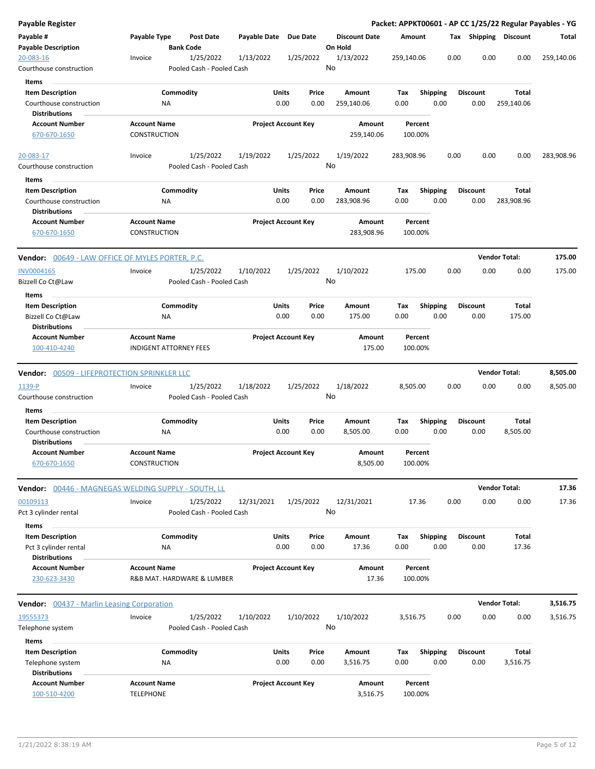| <b>Payable Register</b>                                                    |                                                      |                                        |              |                            |                                 |             |                         |      |                         |                       | Packet: APPKT00601 - AP CC 1/25/22 Regular Payables - YG |
|----------------------------------------------------------------------------|------------------------------------------------------|----------------------------------------|--------------|----------------------------|---------------------------------|-------------|-------------------------|------|-------------------------|-----------------------|----------------------------------------------------------|
| Payable #<br><b>Payable Description</b>                                    | Payable Type                                         | <b>Post Date</b><br><b>Bank Code</b>   | Payable Date | <b>Due Date</b>            | <b>Discount Date</b><br>On Hold | Amount      |                         |      |                         | Tax Shipping Discount | Total                                                    |
| 20-083-16<br>Courthouse construction                                       | Invoice                                              | 1/25/2022<br>Pooled Cash - Pooled Cash | 1/13/2022    | 1/25/2022                  | 1/13/2022<br>No                 | 259,140.06  |                         | 0.00 | 0.00                    | 0.00                  | 259,140.06                                               |
| Items                                                                      |                                                      |                                        |              |                            |                                 |             |                         |      |                         |                       |                                                          |
| <b>Item Description</b><br>Courthouse construction<br><b>Distributions</b> | ΝA                                                   | Commodity                              | Units        | Price<br>0.00<br>0.00      | Amount<br>259,140.06            | Tax<br>0.00 | <b>Shipping</b><br>0.00 |      | <b>Discount</b><br>0.00 | Total<br>259,140.06   |                                                          |
| <b>Account Number</b>                                                      | <b>Account Name</b>                                  |                                        |              | <b>Project Account Key</b> | Amount                          |             | Percent                 |      |                         |                       |                                                          |
| 670-670-1650                                                               | CONSTRUCTION                                         |                                        |              |                            | 259,140.06                      |             | 100.00%                 |      |                         |                       |                                                          |
| 20-083-17                                                                  | Invoice                                              | 1/25/2022                              | 1/19/2022    | 1/25/2022                  | 1/19/2022                       | 283,908.96  |                         | 0.00 | 0.00                    | 0.00                  | 283,908.96                                               |
| Courthouse construction                                                    |                                                      | Pooled Cash - Pooled Cash              |              |                            | No                              |             |                         |      |                         |                       |                                                          |
| Items                                                                      |                                                      |                                        |              |                            |                                 |             |                         |      |                         |                       |                                                          |
| <b>Item Description</b>                                                    |                                                      | Commodity                              | Units        | Price                      | Amount                          | Tax         | <b>Shipping</b>         |      | <b>Discount</b>         | Total                 |                                                          |
| Courthouse construction<br><b>Distributions</b>                            | ΝA                                                   |                                        |              | 0.00<br>0.00               | 283,908.96                      | 0.00        | 0.00                    |      | 0.00                    | 283,908.96            |                                                          |
| <b>Account Number</b><br>670-670-1650                                      | <b>Account Name</b><br>CONSTRUCTION                  |                                        |              | <b>Project Account Key</b> | <b>Amount</b><br>283,908.96     |             | Percent<br>100.00%      |      |                         |                       |                                                          |
| Vendor: 00649 - LAW OFFICE OF MYLES PORTER, P.C.                           |                                                      |                                        |              |                            |                                 |             |                         |      |                         | <b>Vendor Total:</b>  | 175.00                                                   |
| INV0004165<br>Bizzell Co Ct@Law                                            | Invoice                                              | 1/25/2022<br>Pooled Cash - Pooled Cash | 1/10/2022    | 1/25/2022                  | 1/10/2022<br>No                 |             | 175.00                  | 0.00 | 0.00                    | 0.00                  | 175.00                                                   |
| Items                                                                      |                                                      |                                        |              |                            |                                 |             |                         |      |                         |                       |                                                          |
| <b>Item Description</b><br>Bizzell Co Ct@Law<br><b>Distributions</b>       | ΝA                                                   | Commodity                              | Units        | Price<br>0.00<br>0.00      | Amount<br>175.00                | Tax<br>0.00 | <b>Shipping</b><br>0.00 |      | <b>Discount</b><br>0.00 | Total<br>175.00       |                                                          |
| <b>Account Number</b><br>100-410-4240                                      | <b>Account Name</b><br><b>INDIGENT ATTORNEY FEES</b> |                                        |              | <b>Project Account Key</b> | Amount<br>175.00                |             | Percent<br>100.00%      |      |                         |                       |                                                          |
| <b>Vendor:</b> 00509 - LIFEPROTECTION SPRINKLER LLC                        |                                                      |                                        |              |                            |                                 |             |                         |      |                         | <b>Vendor Total:</b>  | 8,505.00                                                 |
| 1139-P                                                                     | Invoice                                              | 1/25/2022                              | 1/18/2022    | 1/25/2022                  | 1/18/2022                       | 8,505.00    |                         | 0.00 | 0.00                    | 0.00                  | 8,505.00                                                 |
| Courthouse construction<br>Items                                           |                                                      | Pooled Cash - Pooled Cash              |              |                            | No                              |             |                         |      |                         |                       |                                                          |
| <b>Item Description</b>                                                    |                                                      | Commodity                              | Units        | Price                      | Amount                          | Тах         | <b>Shipping</b>         |      | Discount                | Total                 |                                                          |
| Courthouse construction<br><b>Distributions</b>                            | ΝA                                                   |                                        |              | 0.00<br>0.00               | 8,505.00                        | 0.00        | 0.00                    |      | 0.00                    | 8,505.00              |                                                          |
| <b>Account Number</b><br>670-670-1650                                      | <b>Account Name</b><br>CONSTRUCTION                  |                                        |              | <b>Project Account Key</b> | Amount<br>8,505.00              |             | Percent<br>100.00%      |      |                         |                       |                                                          |
| <b>Vendor:</b> 00446 - MAGNEGAS WELDING SUPPLY - SOUTH, LL                 |                                                      |                                        |              |                            |                                 |             |                         |      |                         | <b>Vendor Total:</b>  | 17.36                                                    |
| 00109113<br>Pct 3 cylinder rental                                          | Invoice                                              | 1/25/2022<br>Pooled Cash - Pooled Cash | 12/31/2021   | 1/25/2022                  | 12/31/2021<br>No                |             | 17.36                   | 0.00 | 0.00                    | 0.00                  | 17.36                                                    |
| Items                                                                      |                                                      |                                        |              |                            |                                 |             |                         |      |                         |                       |                                                          |
| <b>Item Description</b>                                                    |                                                      | Commodity                              | Units        | Price                      | Amount                          | Tax         | <b>Shipping</b>         |      | <b>Discount</b>         | <b>Total</b>          |                                                          |
| Pct 3 cylinder rental                                                      | <b>NA</b>                                            |                                        |              | 0.00<br>0.00               | 17.36                           | 0.00        | 0.00                    |      | 0.00                    | 17.36                 |                                                          |
| <b>Distributions</b>                                                       |                                                      |                                        |              |                            |                                 |             |                         |      |                         |                       |                                                          |
| <b>Account Number</b>                                                      | <b>Account Name</b>                                  |                                        |              | <b>Project Account Key</b> | Amount                          |             | Percent                 |      |                         |                       |                                                          |
| 230-623-3430                                                               |                                                      | R&B MAT. HARDWARE & LUMBER             |              |                            | 17.36                           |             | 100.00%                 |      |                         |                       |                                                          |
| <b>Vendor:</b> 00437 - Marlin Leasing Corporation                          |                                                      |                                        |              |                            |                                 |             |                         |      |                         | <b>Vendor Total:</b>  | 3,516.75                                                 |
| 19555373                                                                   | Invoice                                              | 1/25/2022                              | 1/10/2022    | 1/10/2022                  | 1/10/2022                       | 3,516.75    |                         | 0.00 | 0.00                    | 0.00                  | 3,516.75                                                 |
| Telephone system<br>Items                                                  |                                                      | Pooled Cash - Pooled Cash              |              |                            | No                              |             |                         |      |                         |                       |                                                          |
| <b>Item Description</b>                                                    |                                                      | Commodity                              | Units        | Price                      | Amount                          | Tax         | <b>Shipping</b>         |      | <b>Discount</b>         | <b>Total</b>          |                                                          |
| Telephone system<br><b>Distributions</b>                                   | ΝA                                                   |                                        |              | 0.00<br>0.00               | 3,516.75                        | 0.00        | 0.00                    |      | 0.00                    | 3,516.75              |                                                          |
| <b>Account Number</b>                                                      | <b>Account Name</b>                                  |                                        |              | <b>Project Account Key</b> | Amount                          |             | Percent                 |      |                         |                       |                                                          |
| 100-510-4200                                                               | <b>TELEPHONE</b>                                     |                                        |              |                            | 3,516.75                        |             | 100.00%                 |      |                         |                       |                                                          |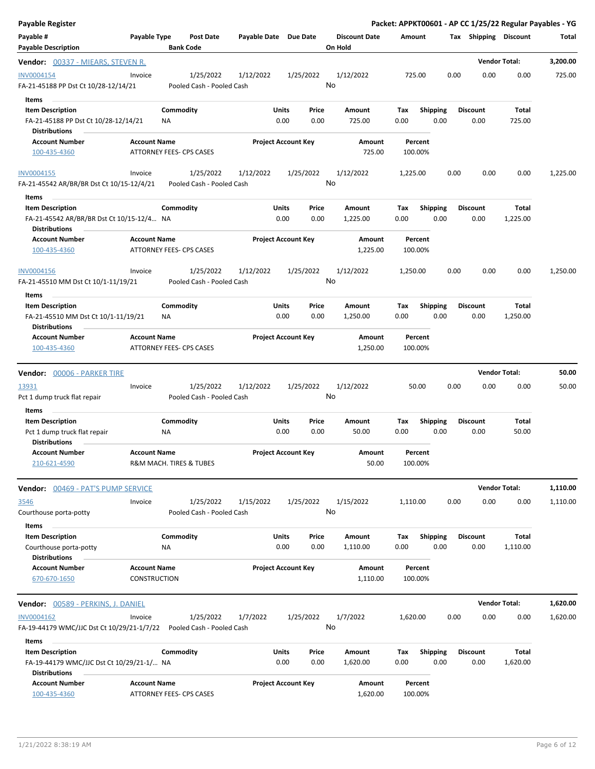| <b>Payable Register</b>                                                                      |                                            |                                        |                       |                                |                                 | Packet: APPKT00601 - AP CC 1/25/22 Regular Payables - YG |                         |                         |                      |          |
|----------------------------------------------------------------------------------------------|--------------------------------------------|----------------------------------------|-----------------------|--------------------------------|---------------------------------|----------------------------------------------------------|-------------------------|-------------------------|----------------------|----------|
| Payable #<br><b>Payable Description</b>                                                      | Payable Type                               | <b>Post Date</b><br><b>Bank Code</b>   | Payable Date Due Date |                                | <b>Discount Date</b><br>On Hold | Amount                                                   |                         | Tax Shipping Discount   |                      | Total    |
| <b>Vendor:</b> 00337 - MIEARS, STEVEN R.                                                     |                                            |                                        |                       |                                |                                 |                                                          |                         |                         | <b>Vendor Total:</b> | 3,200.00 |
| INV0004154<br>FA-21-45188 PP Dst Ct 10/28-12/14/21                                           | Invoice                                    | 1/25/2022<br>Pooled Cash - Pooled Cash | 1/12/2022             | 1/25/2022                      | 1/12/2022<br>No                 | 725.00                                                   | 0.00                    | 0.00                    | 0.00                 | 725.00   |
| Items<br><b>Item Description</b><br>FA-21-45188 PP Dst Ct 10/28-12/14/21                     |                                            | Commodity<br>ΝA                        |                       | Units<br>Price<br>0.00<br>0.00 | Amount<br>725.00                | Tax<br>0.00                                              | <b>Shipping</b><br>0.00 | <b>Discount</b><br>0.00 | Total<br>725.00      |          |
| <b>Distributions</b>                                                                         |                                            |                                        |                       |                                |                                 |                                                          |                         |                         |                      |          |
| <b>Account Number</b><br>100-435-4360                                                        | <b>Account Name</b>                        | ATTORNEY FEES- CPS CASES               |                       | <b>Project Account Key</b>     | Amount<br>725.00                | Percent<br>100.00%                                       |                         |                         |                      |          |
| INV0004155<br>FA-21-45542 AR/BR/BR Dst Ct 10/15-12/4/21                                      | Invoice                                    | 1/25/2022<br>Pooled Cash - Pooled Cash | 1/12/2022             | 1/25/2022                      | 1/12/2022<br>No                 | 1,225.00                                                 | 0.00                    | 0.00                    | 0.00                 | 1,225.00 |
| Items                                                                                        |                                            |                                        |                       |                                |                                 |                                                          |                         |                         |                      |          |
| <b>Item Description</b><br>FA-21-45542 AR/BR/BR Dst Ct 10/15-12/4 NA<br><b>Distributions</b> |                                            | Commodity                              |                       | Units<br>Price<br>0.00<br>0.00 | Amount<br>1,225.00              | Tax<br>0.00                                              | <b>Shipping</b><br>0.00 | <b>Discount</b><br>0.00 | Total<br>1,225.00    |          |
| <b>Account Number</b><br>100-435-4360                                                        | <b>Account Name</b>                        | ATTORNEY FEES- CPS CASES               |                       | <b>Project Account Key</b>     | Amount<br>1,225.00              | Percent<br>100.00%                                       |                         |                         |                      |          |
| <b>INV0004156</b><br>FA-21-45510 MM Dst Ct 10/1-11/19/21                                     | Invoice                                    | 1/25/2022<br>Pooled Cash - Pooled Cash | 1/12/2022             | 1/25/2022                      | 1/12/2022<br>No                 | 1,250.00                                                 | 0.00                    | 0.00                    | 0.00                 | 1,250.00 |
| Items                                                                                        |                                            |                                        |                       |                                |                                 |                                                          |                         |                         |                      |          |
| <b>Item Description</b><br>FA-21-45510 MM Dst Ct 10/1-11/19/21<br><b>Distributions</b>       |                                            | Commodity<br>ΝA                        |                       | Units<br>Price<br>0.00<br>0.00 | Amount<br>1,250.00              | Tax<br>0.00                                              | <b>Shipping</b><br>0.00 | <b>Discount</b><br>0.00 | Total<br>1,250.00    |          |
| <b>Account Number</b><br>100-435-4360                                                        | <b>Account Name</b>                        | <b>ATTORNEY FEES- CPS CASES</b>        |                       | <b>Project Account Key</b>     | Amount<br>1,250.00              | Percent<br>100.00%                                       |                         |                         |                      |          |
| <b>Vendor:</b> 00006 - PARKER TIRE                                                           |                                            |                                        |                       |                                |                                 |                                                          |                         |                         | <b>Vendor Total:</b> | 50.00    |
| 13931<br>Pct 1 dump truck flat repair                                                        | Invoice                                    | 1/25/2022<br>Pooled Cash - Pooled Cash | 1/12/2022             | 1/25/2022                      | 1/12/2022<br>No                 | 50.00                                                    | 0.00                    | 0.00                    | 0.00                 | 50.00    |
| Items                                                                                        |                                            |                                        |                       |                                |                                 |                                                          |                         |                         |                      |          |
| <b>Item Description</b><br>Pct 1 dump truck flat repair<br><b>Distributions</b>              |                                            | Commodity<br>ΝA                        |                       | Units<br>Price<br>0.00<br>0.00 | Amount<br>50.00                 | Tax<br>0.00                                              | Shipping<br>0.00        | <b>Discount</b><br>0.00 | Total<br>50.00       |          |
| <b>Account Number</b><br>210-621-4590                                                        | <b>Account Name</b>                        | R&M MACH. TIRES & TUBES                |                       | <b>Project Account Key</b>     | Amount<br>50.00                 | Percent<br>100.00%                                       |                         |                         |                      |          |
| Vendor: 00469 - PAT'S PUMP SERVICE                                                           |                                            |                                        |                       |                                |                                 |                                                          |                         |                         | <b>Vendor Total:</b> | 1,110.00 |
| <u>3546</u><br>Courthouse porta-potty                                                        | Invoice                                    | 1/25/2022<br>Pooled Cash - Pooled Cash | 1/15/2022             | 1/25/2022                      | 1/15/2022<br>No                 | 1,110.00                                                 | 0.00                    | 0.00                    | 0.00                 | 1,110.00 |
| Items<br><b>Item Description</b>                                                             |                                            | Commodity                              |                       | Units<br>Price                 | Amount                          | Tax                                                      | <b>Shipping</b>         | <b>Discount</b>         | Total                |          |
| Courthouse porta-potty<br><b>Distributions</b>                                               |                                            | <b>NA</b>                              |                       | 0.00<br>0.00                   | 1,110.00                        | 0.00                                                     | 0.00                    | 0.00                    | 1,110.00             |          |
| <b>Account Number</b><br>670-670-1650                                                        | <b>Account Name</b><br><b>CONSTRUCTION</b> |                                        |                       | <b>Project Account Key</b>     | Amount<br>1,110.00              | Percent<br>100.00%                                       |                         |                         |                      |          |
| <b>Vendor:</b> 00589 - PERKINS, J. DANIEL                                                    |                                            |                                        |                       |                                |                                 |                                                          |                         |                         | <b>Vendor Total:</b> | 1,620.00 |
| INV0004162<br>FA-19-44179 WMC/JJC Dst Ct 10/29/21-1/7/22                                     | Invoice                                    | 1/25/2022<br>Pooled Cash - Pooled Cash | 1/7/2022              | 1/25/2022                      | 1/7/2022<br>No                  | 1,620.00                                                 | 0.00                    | 0.00                    | 0.00                 | 1,620.00 |
| Items                                                                                        |                                            |                                        |                       |                                |                                 |                                                          |                         |                         |                      |          |
| <b>Item Description</b><br>FA-19-44179 WMC/JJC Dst Ct 10/29/21-1/ NA<br><b>Distributions</b> |                                            | Commodity                              |                       | Units<br>Price<br>0.00<br>0.00 | Amount<br>1,620.00              | Tax<br>0.00                                              | <b>Shipping</b><br>0.00 | <b>Discount</b><br>0.00 | Total<br>1,620.00    |          |
| <b>Account Number</b><br>100-435-4360                                                        | <b>Account Name</b>                        | ATTORNEY FEES- CPS CASES               |                       | <b>Project Account Key</b>     | Amount<br>1,620.00              | Percent<br>100.00%                                       |                         |                         |                      |          |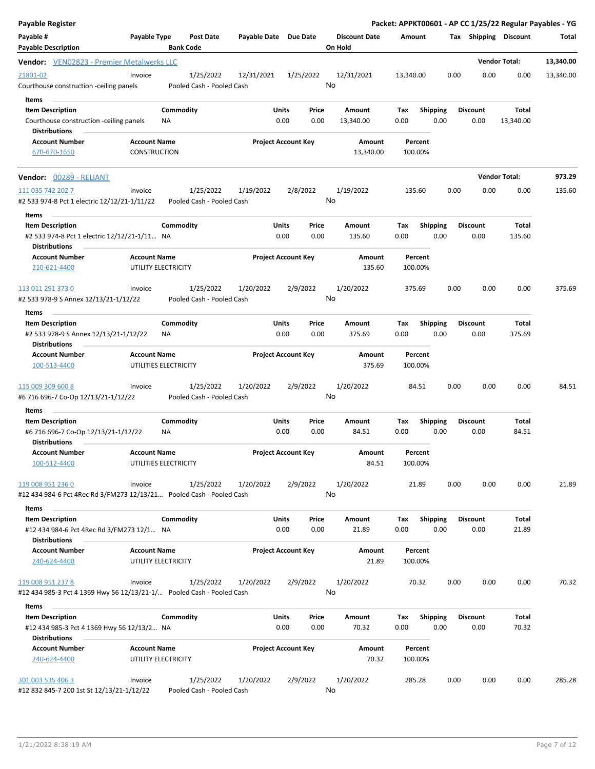| <b>Payable Register</b>                                                                                                 |                                     |                                      |                                         |                            |               |                                 |             |                         |      |                         |                      | Packet: APPKT00601 - AP CC 1/25/22 Regular Payables - YG |
|-------------------------------------------------------------------------------------------------------------------------|-------------------------------------|--------------------------------------|-----------------------------------------|----------------------------|---------------|---------------------------------|-------------|-------------------------|------|-------------------------|----------------------|----------------------------------------------------------|
| Payable #<br><b>Payable Description</b>                                                                                 | Payable Type                        | <b>Post Date</b><br><b>Bank Code</b> | Payable Date Due Date                   |                            |               | <b>Discount Date</b><br>On Hold | Amount      |                         |      | Tax Shipping Discount   |                      | Total                                                    |
| Vendor: VEN02823 - Premier Metalwerks LLC                                                                               |                                     |                                      |                                         |                            |               |                                 |             |                         |      |                         | <b>Vendor Total:</b> | 13,340.00                                                |
| 21801-02<br>Courthouse construction -ceiling panels                                                                     | Invoice                             | 1/25/2022                            | 12/31/2021<br>Pooled Cash - Pooled Cash |                            | 1/25/2022     | 12/31/2021<br>No                | 13,340.00   |                         | 0.00 | 0.00                    | 0.00                 | 13,340.00                                                |
| Items<br><b>Item Description</b><br>Courthouse construction -ceiling panels                                             |                                     | Commodity<br>ΝA                      |                                         | Units<br>0.00              | Price<br>0.00 | Amount<br>13,340.00             | Tax<br>0.00 | <b>Shipping</b><br>0.00 |      | <b>Discount</b><br>0.00 | Total<br>13,340.00   |                                                          |
| <b>Distributions</b><br><b>Account Number</b><br>670-670-1650                                                           | <b>Account Name</b><br>CONSTRUCTION |                                      |                                         | <b>Project Account Key</b> |               | Amount<br>13,340.00             | 100.00%     | Percent                 |      |                         |                      |                                                          |
| <b>Vendor:</b> 00289 - RELIANT                                                                                          |                                     |                                      |                                         |                            |               |                                 |             |                         |      |                         | <b>Vendor Total:</b> | 973.29                                                   |
| 111 035 742 202 7<br>#2 533 974-8 Pct 1 electric 12/12/21-1/11/22                                                       | Invoice                             | 1/25/2022                            | 1/19/2022<br>Pooled Cash - Pooled Cash  | 2/8/2022                   |               | 1/19/2022<br>No                 | 135.60      |                         | 0.00 | 0.00                    | 0.00                 | 135.60                                                   |
| Items<br><b>Item Description</b><br>#2 533 974-8 Pct 1 electric 12/12/21-1/11 NA                                        |                                     | Commodity                            |                                         | Units<br>0.00              | Price<br>0.00 | Amount<br>135.60                | Tax<br>0.00 | <b>Shipping</b><br>0.00 |      | <b>Discount</b><br>0.00 | Total<br>135.60      |                                                          |
| <b>Distributions</b><br><b>Account Number</b><br>210-621-4400                                                           | <b>Account Name</b>                 | UTILITY ELECTRICITY                  |                                         | <b>Project Account Key</b> |               | Amount<br>135.60                | 100.00%     | Percent                 |      |                         |                      |                                                          |
| 113 011 291 373 0<br>#2 533 978-9 S Annex 12/13/21-1/12/22                                                              | Invoice                             | 1/25/2022                            | 1/20/2022<br>Pooled Cash - Pooled Cash  | 2/9/2022                   |               | 1/20/2022<br>No                 | 375.69      |                         | 0.00 | 0.00                    | 0.00                 | 375.69                                                   |
| Items                                                                                                                   |                                     |                                      |                                         |                            |               |                                 |             |                         |      |                         |                      |                                                          |
| <b>Item Description</b><br>#2 533 978-9 S Annex 12/13/21-1/12/22<br><b>Distributions</b>                                |                                     | Commodity<br><b>NA</b>               |                                         | Units<br>0.00              | Price<br>0.00 | Amount<br>375.69                | Tax<br>0.00 | <b>Shipping</b><br>0.00 |      | <b>Discount</b><br>0.00 | Total<br>375.69      |                                                          |
| <b>Account Number</b><br>100-513-4400                                                                                   | <b>Account Name</b>                 | UTILITIES ELECTRICITY                |                                         | <b>Project Account Key</b> |               | Amount<br>375.69                | 100.00%     | Percent                 |      |                         |                      |                                                          |
| 115 009 309 600 8<br>#6 716 696-7 Co-Op 12/13/21-1/12/22                                                                | Invoice                             | 1/25/2022                            | 1/20/2022<br>Pooled Cash - Pooled Cash  | 2/9/2022                   |               | 1/20/2022<br>No                 |             | 84.51                   | 0.00 | 0.00                    | 0.00                 | 84.51                                                    |
| Items                                                                                                                   |                                     |                                      |                                         |                            |               |                                 |             |                         |      |                         |                      |                                                          |
| <b>Item Description</b><br>#6 716 696-7 Co-Op 12/13/21-1/12/22<br><b>Distributions</b>                                  |                                     | Commodity<br>ΝA                      |                                         | Units<br>0.00              | Price<br>0.00 | Amount<br>84.51                 | Tax<br>0.00 | Shipping<br>0.00        |      | Discount<br>0.00        | Total<br>84.51       |                                                          |
| <b>Account Number</b><br>100-512-4400                                                                                   | <b>Account Name</b>                 | UTILITIES ELECTRICITY                |                                         | <b>Project Account Key</b> |               | Amount<br>84.51                 | 100.00%     | Percent                 |      |                         |                      |                                                          |
| 119 008 951 236 0<br>#12 434 984-6 Pct 4Rec Rd 3/FM273 12/13/21                               Pooled Cash - Pooled Cash | Invoice                             | 1/25/2022                            | 1/20/2022                               | 2/9/2022                   |               | 1/20/2022<br>No                 |             | 21.89                   | 0.00 | 0.00                    | 0.00                 | 21.89                                                    |
| Items                                                                                                                   |                                     |                                      |                                         |                            |               |                                 |             |                         |      |                         |                      |                                                          |
| <b>Item Description</b><br>#12 434 984-6 Pct 4Rec Rd 3/FM273 12/1 NA<br><b>Distributions</b>                            |                                     | Commodity                            |                                         | Units<br>0.00              | Price<br>0.00 | Amount<br>21.89                 | Tax<br>0.00 | <b>Shipping</b><br>0.00 |      | <b>Discount</b><br>0.00 | Total<br>21.89       |                                                          |
| <b>Account Number</b><br>240-624-4400                                                                                   | <b>Account Name</b>                 | UTILITY ELECTRICITY                  |                                         | <b>Project Account Key</b> |               | Amount<br>21.89                 | 100.00%     | Percent                 |      |                         |                      |                                                          |
| 119 008 951 237 8<br>#12 434 985-3 Pct 4 1369 Hwy 56 12/13/21-1/ Pooled Cash - Pooled Cash                              | Invoice                             | 1/25/2022                            | 1/20/2022                               | 2/9/2022                   |               | 1/20/2022<br>No                 |             | 70.32                   | 0.00 | 0.00                    | 0.00                 | 70.32                                                    |
| Items                                                                                                                   |                                     |                                      |                                         |                            |               |                                 |             |                         |      |                         |                      |                                                          |
| <b>Item Description</b><br>#12 434 985-3 Pct 4 1369 Hwy 56 12/13/2 NA<br><b>Distributions</b>                           |                                     | Commodity                            |                                         | Units<br>0.00              | Price<br>0.00 | Amount<br>70.32                 | Tax<br>0.00 | <b>Shipping</b><br>0.00 |      | <b>Discount</b><br>0.00 | Total<br>70.32       |                                                          |
| <b>Account Number</b><br>240-624-4400                                                                                   | <b>Account Name</b>                 | UTILITY ELECTRICITY                  |                                         | <b>Project Account Key</b> |               | Amount<br>70.32                 | 100.00%     | Percent                 |      |                         |                      |                                                          |
| 301 003 535 406 3<br>#12 832 845-7 200 1st St 12/13/21-1/12/22                                                          | Invoice                             | 1/25/2022                            | 1/20/2022<br>Pooled Cash - Pooled Cash  | 2/9/2022                   |               | 1/20/2022<br>No                 | 285.28      |                         | 0.00 | 0.00                    | 0.00                 | 285.28                                                   |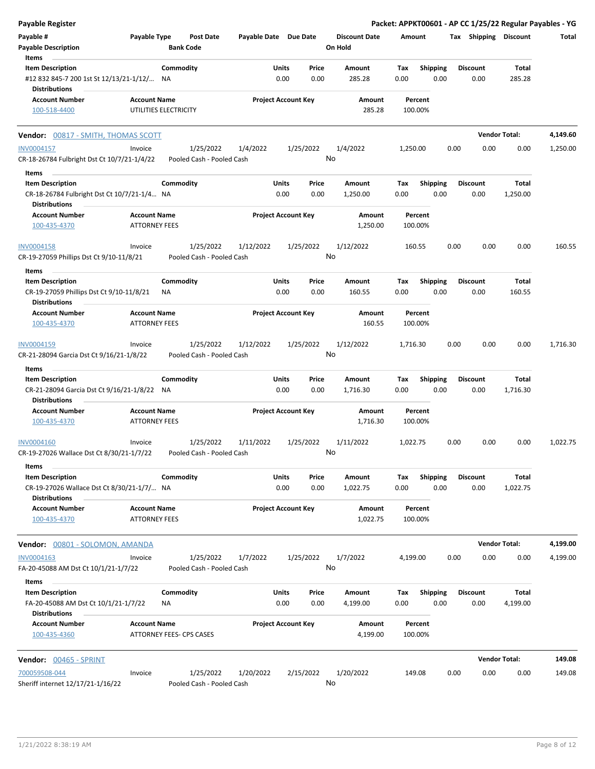| Payable Register                                                      |                                             |                          |                                        |                       |                            |               |                                 |                    |                         |      |                         | Packet: APPKT00601 - AP CC 1/25/22 Regular Payables - YG |          |
|-----------------------------------------------------------------------|---------------------------------------------|--------------------------|----------------------------------------|-----------------------|----------------------------|---------------|---------------------------------|--------------------|-------------------------|------|-------------------------|----------------------------------------------------------|----------|
| Payable #<br><b>Payable Description</b>                               | Payable Type                                | <b>Bank Code</b>         | <b>Post Date</b>                       | Payable Date Due Date |                            |               | <b>Discount Date</b><br>On Hold | Amount             |                         |      | Tax Shipping Discount   |                                                          | Total    |
| Items<br><b>Item Description</b>                                      |                                             | Commodity                |                                        |                       | Units                      | Price         | Amount                          | Tax                | <b>Shipping</b>         |      | <b>Discount</b>         | <b>Total</b>                                             |          |
| #12 832 845-7 200 1st St 12/13/21-1/12/ NA<br><b>Distributions</b>    |                                             |                          |                                        |                       | 0.00                       | 0.00          | 285.28                          | 0.00               | 0.00                    |      | 0.00                    | 285.28                                                   |          |
| <b>Account Number</b>                                                 | <b>Account Name</b>                         |                          |                                        |                       | <b>Project Account Key</b> |               | Amount                          | Percent            |                         |      |                         |                                                          |          |
| 100-518-4400                                                          |                                             | UTILITIES ELECTRICITY    |                                        |                       |                            |               | 285.28                          | 100.00%            |                         |      |                         |                                                          |          |
| Vendor: 00817 - SMITH, THOMAS SCOTT                                   |                                             |                          |                                        |                       |                            |               |                                 |                    |                         |      |                         | <b>Vendor Total:</b>                                     | 4,149.60 |
| INV0004157                                                            | Invoice                                     |                          | 1/25/2022                              | 1/4/2022              |                            | 1/25/2022     | 1/4/2022                        | 1,250.00           |                         | 0.00 | 0.00                    | 0.00                                                     | 1,250.00 |
| CR-18-26784 Fulbright Dst Ct 10/7/21-1/4/22                           |                                             |                          | Pooled Cash - Pooled Cash              |                       |                            |               | No                              |                    |                         |      |                         |                                                          |          |
| Items                                                                 |                                             |                          |                                        |                       |                            |               |                                 |                    |                         |      |                         |                                                          |          |
| <b>Item Description</b>                                               |                                             | Commodity                |                                        |                       | Units                      | Price         | Amount                          | Tax                | <b>Shipping</b>         |      | <b>Discount</b>         | <b>Total</b>                                             |          |
| CR-18-26784 Fulbright Dst Ct 10/7/21-1/4 NA<br><b>Distributions</b>   |                                             |                          |                                        |                       | 0.00                       | 0.00          | 1,250.00                        | 0.00               | 0.00                    |      | 0.00                    | 1,250.00                                                 |          |
| <b>Account Number</b>                                                 | <b>Account Name</b>                         |                          |                                        |                       | <b>Project Account Key</b> |               | Amount                          | Percent            |                         |      |                         |                                                          |          |
| 100-435-4370                                                          | <b>ATTORNEY FEES</b>                        |                          |                                        |                       |                            |               | 1,250.00                        | 100.00%            |                         |      |                         |                                                          |          |
| <b>INV0004158</b>                                                     | Invoice                                     |                          | 1/25/2022                              | 1/12/2022             |                            | 1/25/2022     | 1/12/2022                       | 160.55             |                         | 0.00 | 0.00                    | 0.00                                                     | 160.55   |
| CR-19-27059 Phillips Dst Ct 9/10-11/8/21                              |                                             |                          | Pooled Cash - Pooled Cash              |                       |                            |               | No                              |                    |                         |      |                         |                                                          |          |
| Items                                                                 |                                             |                          |                                        |                       |                            |               |                                 |                    |                         |      |                         |                                                          |          |
| <b>Item Description</b>                                               |                                             | Commodity                |                                        |                       | Units                      | Price         | Amount                          | Tax                | <b>Shipping</b>         |      | <b>Discount</b>         | <b>Total</b>                                             |          |
| CR-19-27059 Phillips Dst Ct 9/10-11/8/21<br><b>Distributions</b>      |                                             | NA                       |                                        |                       | 0.00                       | 0.00          | 160.55                          | 0.00               | 0.00                    |      | 0.00                    | 160.55                                                   |          |
| <b>Account Number</b>                                                 | <b>Account Name</b>                         |                          |                                        |                       | <b>Project Account Key</b> |               | Amount                          | Percent            |                         |      |                         |                                                          |          |
| 100-435-4370                                                          | <b>ATTORNEY FEES</b>                        |                          |                                        |                       |                            |               | 160.55                          | 100.00%            |                         |      |                         |                                                          |          |
| INV0004159                                                            | Invoice                                     |                          | 1/25/2022                              | 1/12/2022             |                            | 1/25/2022     | 1/12/2022                       | 1,716.30           |                         | 0.00 | 0.00                    | 0.00                                                     | 1,716.30 |
| CR-21-28094 Garcia Dst Ct 9/16/21-1/8/22                              |                                             |                          | Pooled Cash - Pooled Cash              |                       |                            |               | No                              |                    |                         |      |                         |                                                          |          |
| Items                                                                 |                                             |                          |                                        |                       |                            |               |                                 |                    |                         |      |                         |                                                          |          |
| <b>Item Description</b>                                               |                                             | Commodity                |                                        |                       | Units                      | Price         | Amount                          | Tax                | <b>Shipping</b>         |      | <b>Discount</b>         | <b>Total</b>                                             |          |
| CR-21-28094 Garcia Dst Ct 9/16/21-1/8/22 NA                           |                                             |                          |                                        |                       | 0.00                       | 0.00          | 1,716.30                        | 0.00               | 0.00                    |      | 0.00                    | 1,716.30                                                 |          |
| <b>Distributions</b>                                                  |                                             |                          |                                        |                       |                            |               |                                 |                    |                         |      |                         |                                                          |          |
| <b>Account Number</b><br>100-435-4370                                 | <b>Account Name</b><br><b>ATTORNEY FEES</b> |                          |                                        |                       | <b>Project Account Key</b> |               | Amount<br>1,716.30              | Percent<br>100.00% |                         |      |                         |                                                          |          |
|                                                                       |                                             |                          |                                        |                       |                            |               |                                 |                    |                         |      |                         |                                                          |          |
| INV0004160<br>CR-19-27026 Wallace Dst Ct 8/30/21-1/7/22               | Invoice                                     |                          | 1/25/2022<br>Pooled Cash - Pooled Cash | 1/11/2022             |                            | 1/25/2022     | 1/11/2022<br>No                 | 1,022.75           |                         | 0.00 | 0.00                    | 0.00                                                     | 1,022.75 |
| Items                                                                 |                                             |                          |                                        |                       |                            |               |                                 |                    |                         |      |                         |                                                          |          |
| <b>Item Description</b><br>CR-19-27026 Wallace Dst Ct 8/30/21-1/7/ NA |                                             | Commodity                |                                        |                       | <b>Units</b><br>0.00       | Price<br>0.00 | Amount<br>1,022.75              | Tax<br>0.00        | <b>Shipping</b><br>0.00 |      | <b>Discount</b><br>0.00 | Total<br>1,022.75                                        |          |
| <b>Distributions</b>                                                  |                                             |                          |                                        |                       |                            |               |                                 |                    |                         |      |                         |                                                          |          |
| <b>Account Number</b>                                                 | <b>Account Name</b>                         |                          |                                        |                       | <b>Project Account Key</b> |               | Amount                          | Percent            |                         |      |                         |                                                          |          |
| 100-435-4370                                                          | <b>ATTORNEY FEES</b>                        |                          |                                        |                       |                            |               | 1,022.75                        | 100.00%            |                         |      |                         |                                                          |          |
| Vendor: 00801 - SOLOMON, AMANDA                                       |                                             |                          |                                        |                       |                            |               |                                 |                    |                         |      |                         | <b>Vendor Total:</b>                                     | 4,199.00 |
| INV0004163                                                            | Invoice                                     |                          | 1/25/2022                              | 1/7/2022              |                            | 1/25/2022     | 1/7/2022                        | 4,199.00           |                         | 0.00 | 0.00                    | 0.00                                                     | 4,199.00 |
| FA-20-45088 AM Dst Ct 10/1/21-1/7/22<br>Items                         |                                             |                          | Pooled Cash - Pooled Cash              |                       |                            |               | No                              |                    |                         |      |                         |                                                          |          |
| <b>Item Description</b>                                               |                                             | Commodity                |                                        |                       | <b>Units</b>               | Price         | Amount                          | Tax                | <b>Shipping</b>         |      | <b>Discount</b>         | Total                                                    |          |
| FA-20-45088 AM Dst Ct 10/1/21-1/7/22<br><b>Distributions</b>          |                                             | NA                       |                                        |                       | 0.00                       | 0.00          | 4,199.00                        | 0.00               | 0.00                    |      | 0.00                    | 4,199.00                                                 |          |
| <b>Account Number</b><br>100-435-4360                                 | <b>Account Name</b>                         | ATTORNEY FEES- CPS CASES |                                        |                       | <b>Project Account Key</b> |               | Amount<br>4,199.00              | Percent<br>100.00% |                         |      |                         |                                                          |          |
|                                                                       |                                             |                          |                                        |                       |                            |               |                                 |                    |                         |      |                         |                                                          |          |
| <b>Vendor: 00465 - SPRINT</b>                                         |                                             |                          |                                        |                       |                            |               |                                 |                    |                         |      |                         | <b>Vendor Total:</b>                                     | 149.08   |
| 700059508-044                                                         | Invoice                                     |                          | 1/25/2022                              | 1/20/2022             |                            | 2/15/2022     | 1/20/2022                       | 149.08             |                         | 0.00 | 0.00                    | 0.00                                                     | 149.08   |
| Sheriff internet 12/17/21-1/16/22                                     |                                             |                          | Pooled Cash - Pooled Cash              |                       |                            |               | No                              |                    |                         |      |                         |                                                          |          |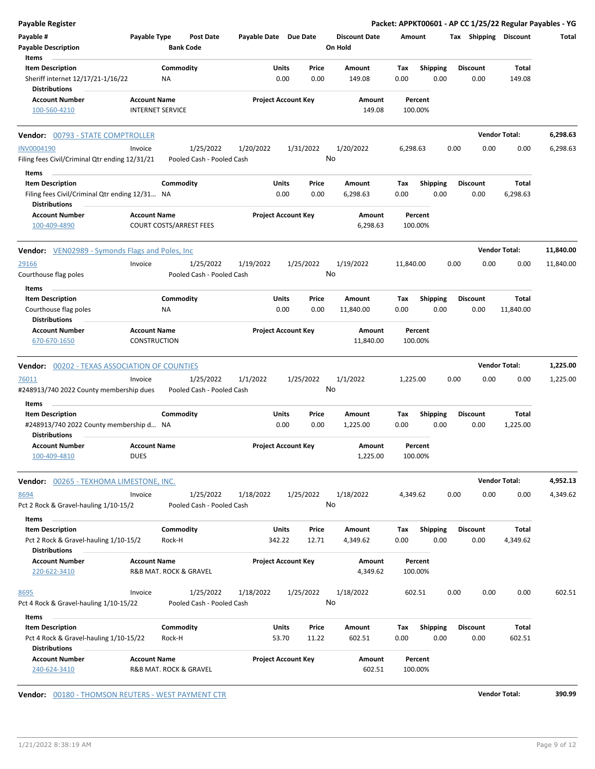|                    |      |                                                                                              |                                                                                                                |                                                               |                                                                                                                                                                                                                                                                                                    |                                                           |                                                                                                                                                                                                                   |                                                         |                                                                                                                              |                                                                                                                                                                                                    |           |                                                                                                                                                                                                                                                 | <b>Payable Register</b>                                                                                                                                                                                                                |
|--------------------|------|----------------------------------------------------------------------------------------------|----------------------------------------------------------------------------------------------------------------|---------------------------------------------------------------|----------------------------------------------------------------------------------------------------------------------------------------------------------------------------------------------------------------------------------------------------------------------------------------------------|-----------------------------------------------------------|-------------------------------------------------------------------------------------------------------------------------------------------------------------------------------------------------------------------|---------------------------------------------------------|------------------------------------------------------------------------------------------------------------------------------|----------------------------------------------------------------------------------------------------------------------------------------------------------------------------------------------------|-----------|-------------------------------------------------------------------------------------------------------------------------------------------------------------------------------------------------------------------------------------------------|----------------------------------------------------------------------------------------------------------------------------------------------------------------------------------------------------------------------------------------|
|                    |      |                                                                                              |                                                                                                                |                                                               |                                                                                                                                                                                                                                                                                                    |                                                           |                                                                                                                                                                                                                   |                                                         |                                                                                                                              | <b>Post Date</b>                                                                                                                                                                                   |           |                                                                                                                                                                                                                                                 | Payable #<br><b>Payable Description</b>                                                                                                                                                                                                |
|                    |      |                                                                                              |                                                                                                                |                                                               |                                                                                                                                                                                                                                                                                                    |                                                           |                                                                                                                                                                                                                   |                                                         |                                                                                                                              |                                                                                                                                                                                                    |           |                                                                                                                                                                                                                                                 | Items                                                                                                                                                                                                                                  |
| Total              |      |                                                                                              |                                                                                                                | Tax                                                           |                                                                                                                                                                                                                                                                                                    | Amount                                                    | Price                                                                                                                                                                                                             |                                                         |                                                                                                                              |                                                                                                                                                                                                    |           |                                                                                                                                                                                                                                                 | <b>Item Description</b>                                                                                                                                                                                                                |
| 149.08             | 0.00 |                                                                                              | 0.00                                                                                                           |                                                               |                                                                                                                                                                                                                                                                                                    | 149.08                                                    | 0.00                                                                                                                                                                                                              | 0.00                                                    |                                                                                                                              |                                                                                                                                                                                                    | NA        |                                                                                                                                                                                                                                                 | Sheriff internet 12/17/21-1/16/22<br><b>Distributions</b>                                                                                                                                                                              |
|                    |      |                                                                                              |                                                                                                                |                                                               |                                                                                                                                                                                                                                                                                                    |                                                           |                                                                                                                                                                                                                   |                                                         |                                                                                                                              |                                                                                                                                                                                                    |           |                                                                                                                                                                                                                                                 | <b>Account Number</b>                                                                                                                                                                                                                  |
|                    |      |                                                                                              |                                                                                                                |                                                               |                                                                                                                                                                                                                                                                                                    |                                                           |                                                                                                                                                                                                                   |                                                         |                                                                                                                              |                                                                                                                                                                                                    |           |                                                                                                                                                                                                                                                 | 100-560-4210                                                                                                                                                                                                                           |
|                    |      |                                                                                              |                                                                                                                |                                                               |                                                                                                                                                                                                                                                                                                    |                                                           |                                                                                                                                                                                                                   |                                                         |                                                                                                                              |                                                                                                                                                                                                    |           |                                                                                                                                                                                                                                                 | Vendor: 00793 - STATE COMPTROLLER                                                                                                                                                                                                      |
| 0.00               | 0.00 |                                                                                              |                                                                                                                |                                                               |                                                                                                                                                                                                                                                                                                    | 1/20/2022                                                 |                                                                                                                                                                                                                   |                                                         | 1/20/2022                                                                                                                    | 1/25/2022                                                                                                                                                                                          |           | Invoice                                                                                                                                                                                                                                         | <b>INV0004190</b>                                                                                                                                                                                                                      |
|                    |      |                                                                                              |                                                                                                                |                                                               |                                                                                                                                                                                                                                                                                                    |                                                           |                                                                                                                                                                                                                   |                                                         |                                                                                                                              |                                                                                                                                                                                                    |           |                                                                                                                                                                                                                                                 | Filing fees Civil/Criminal Qtr ending 12/31/21<br>Items                                                                                                                                                                                |
| Total              |      |                                                                                              |                                                                                                                |                                                               |                                                                                                                                                                                                                                                                                                    |                                                           |                                                                                                                                                                                                                   |                                                         |                                                                                                                              |                                                                                                                                                                                                    |           |                                                                                                                                                                                                                                                 | <b>Item Description</b>                                                                                                                                                                                                                |
| 6,298.63           | 0.00 |                                                                                              | 0.00                                                                                                           |                                                               |                                                                                                                                                                                                                                                                                                    | 6,298.63                                                  | 0.00                                                                                                                                                                                                              | 0.00                                                    |                                                                                                                              |                                                                                                                                                                                                    |           |                                                                                                                                                                                                                                                 | Filing fees Civil/Criminal Qtr ending 12/31 NA<br>Distributions                                                                                                                                                                        |
|                    |      |                                                                                              |                                                                                                                |                                                               |                                                                                                                                                                                                                                                                                                    |                                                           |                                                                                                                                                                                                                   |                                                         |                                                                                                                              |                                                                                                                                                                                                    |           |                                                                                                                                                                                                                                                 | <b>Account Number</b><br>100-409-4890                                                                                                                                                                                                  |
|                    |      |                                                                                              |                                                                                                                |                                                               |                                                                                                                                                                                                                                                                                                    |                                                           |                                                                                                                                                                                                                   |                                                         |                                                                                                                              |                                                                                                                                                                                                    |           |                                                                                                                                                                                                                                                 | <b>Vendor:</b> VEN02989 - Symonds Flags and Poles, Inc                                                                                                                                                                                 |
| 0.00               | 0.00 |                                                                                              |                                                                                                                |                                                               |                                                                                                                                                                                                                                                                                                    | 1/19/2022                                                 |                                                                                                                                                                                                                   |                                                         |                                                                                                                              |                                                                                                                                                                                                    |           | Invoice                                                                                                                                                                                                                                         | 29166                                                                                                                                                                                                                                  |
|                    |      |                                                                                              |                                                                                                                |                                                               |                                                                                                                                                                                                                                                                                                    |                                                           |                                                                                                                                                                                                                   |                                                         |                                                                                                                              |                                                                                                                                                                                                    |           |                                                                                                                                                                                                                                                 | Courthouse flag poles                                                                                                                                                                                                                  |
|                    |      |                                                                                              |                                                                                                                |                                                               |                                                                                                                                                                                                                                                                                                    |                                                           |                                                                                                                                                                                                                   |                                                         |                                                                                                                              |                                                                                                                                                                                                    |           |                                                                                                                                                                                                                                                 | Items                                                                                                                                                                                                                                  |
| Total<br>11,840.00 | 0.00 |                                                                                              | 0.00                                                                                                           |                                                               |                                                                                                                                                                                                                                                                                                    | 11,840.00                                                 | 0.00                                                                                                                                                                                                              | 0.00                                                    |                                                                                                                              |                                                                                                                                                                                                    | ΝA        |                                                                                                                                                                                                                                                 | <b>Item Description</b><br>Courthouse flag poles                                                                                                                                                                                       |
|                    |      |                                                                                              |                                                                                                                |                                                               |                                                                                                                                                                                                                                                                                                    |                                                           |                                                                                                                                                                                                                   |                                                         |                                                                                                                              |                                                                                                                                                                                                    |           |                                                                                                                                                                                                                                                 | <b>Distributions</b>                                                                                                                                                                                                                   |
|                    |      |                                                                                              |                                                                                                                |                                                               |                                                                                                                                                                                                                                                                                                    |                                                           |                                                                                                                                                                                                                   |                                                         |                                                                                                                              |                                                                                                                                                                                                    |           |                                                                                                                                                                                                                                                 | <b>Account Number</b><br>670-670-1650                                                                                                                                                                                                  |
|                    |      |                                                                                              |                                                                                                                |                                                               |                                                                                                                                                                                                                                                                                                    |                                                           |                                                                                                                                                                                                                   |                                                         |                                                                                                                              |                                                                                                                                                                                                    |           |                                                                                                                                                                                                                                                 | <b>Vendor: 00202 - TEXAS ASSOCIATION OF COUNTIES</b>                                                                                                                                                                                   |
| 0.00               | 0.00 |                                                                                              |                                                                                                                |                                                               |                                                                                                                                                                                                                                                                                                    | 1/1/2022                                                  |                                                                                                                                                                                                                   |                                                         | 1/1/2022                                                                                                                     | 1/25/2022                                                                                                                                                                                          |           | Invoice                                                                                                                                                                                                                                         | 76011<br>#248913/740 2022 County membership dues                                                                                                                                                                                       |
|                    |      |                                                                                              |                                                                                                                |                                                               |                                                                                                                                                                                                                                                                                                    |                                                           |                                                                                                                                                                                                                   |                                                         |                                                                                                                              |                                                                                                                                                                                                    |           |                                                                                                                                                                                                                                                 | Items                                                                                                                                                                                                                                  |
| Total              |      |                                                                                              |                                                                                                                |                                                               |                                                                                                                                                                                                                                                                                                    | Amount                                                    | Price                                                                                                                                                                                                             |                                                         |                                                                                                                              |                                                                                                                                                                                                    |           |                                                                                                                                                                                                                                                 | <b>Item Description</b>                                                                                                                                                                                                                |
| 1,225.00           | 0.00 |                                                                                              | 0.00                                                                                                           |                                                               |                                                                                                                                                                                                                                                                                                    | 1,225.00                                                  | 0.00                                                                                                                                                                                                              | 0.00                                                    |                                                                                                                              |                                                                                                                                                                                                    |           |                                                                                                                                                                                                                                                 | #248913/740 2022 County membership d NA<br><b>Distributions</b>                                                                                                                                                                        |
|                    |      |                                                                                              |                                                                                                                |                                                               |                                                                                                                                                                                                                                                                                                    |                                                           |                                                                                                                                                                                                                   |                                                         |                                                                                                                              |                                                                                                                                                                                                    |           |                                                                                                                                                                                                                                                 | Account Number                                                                                                                                                                                                                         |
|                    |      |                                                                                              |                                                                                                                |                                                               |                                                                                                                                                                                                                                                                                                    |                                                           |                                                                                                                                                                                                                   |                                                         |                                                                                                                              |                                                                                                                                                                                                    |           | <b>DUES</b>                                                                                                                                                                                                                                     | 100-409-4810                                                                                                                                                                                                                           |
|                    |      |                                                                                              |                                                                                                                |                                                               |                                                                                                                                                                                                                                                                                                    |                                                           |                                                                                                                                                                                                                   |                                                         |                                                                                                                              |                                                                                                                                                                                                    |           |                                                                                                                                                                                                                                                 | Vendor: 00265 - TEXHOMA LIMESTONE, INC.                                                                                                                                                                                                |
| 0.00               | 0.00 |                                                                                              |                                                                                                                |                                                               |                                                                                                                                                                                                                                                                                                    | 1/18/2022                                                 |                                                                                                                                                                                                                   |                                                         | 1/18/2022                                                                                                                    | 1/25/2022                                                                                                                                                                                          |           | Invoice                                                                                                                                                                                                                                         | 8694<br>Pct 2 Rock & Gravel-hauling 1/10-15/2                                                                                                                                                                                          |
|                    |      |                                                                                              |                                                                                                                |                                                               |                                                                                                                                                                                                                                                                                                    |                                                           |                                                                                                                                                                                                                   |                                                         |                                                                                                                              |                                                                                                                                                                                                    |           |                                                                                                                                                                                                                                                 | Items                                                                                                                                                                                                                                  |
| Total              |      |                                                                                              |                                                                                                                | Tax                                                           |                                                                                                                                                                                                                                                                                                    | Amount                                                    | Price                                                                                                                                                                                                             |                                                         |                                                                                                                              |                                                                                                                                                                                                    |           |                                                                                                                                                                                                                                                 | <b>Item Description</b>                                                                                                                                                                                                                |
| 4,349.62           | 0.00 |                                                                                              | 0.00                                                                                                           |                                                               |                                                                                                                                                                                                                                                                                                    | 4,349.62                                                  | 12.71                                                                                                                                                                                                             |                                                         |                                                                                                                              |                                                                                                                                                                                                    | Rock-H    |                                                                                                                                                                                                                                                 | Pct 2 Rock & Gravel-hauling 1/10-15/2<br><b>Distributions</b>                                                                                                                                                                          |
|                    |      |                                                                                              |                                                                                                                |                                                               |                                                                                                                                                                                                                                                                                                    |                                                           |                                                                                                                                                                                                                   |                                                         |                                                                                                                              |                                                                                                                                                                                                    |           |                                                                                                                                                                                                                                                 | <b>Account Number</b><br>220-622-3410                                                                                                                                                                                                  |
| 0.00               | 0.00 |                                                                                              |                                                                                                                |                                                               |                                                                                                                                                                                                                                                                                                    | 1/18/2022                                                 |                                                                                                                                                                                                                   |                                                         | 1/18/2022                                                                                                                    | 1/25/2022                                                                                                                                                                                          |           | Invoice                                                                                                                                                                                                                                         | 8695                                                                                                                                                                                                                                   |
|                    |      |                                                                                              |                                                                                                                |                                                               |                                                                                                                                                                                                                                                                                                    |                                                           |                                                                                                                                                                                                                   |                                                         |                                                                                                                              |                                                                                                                                                                                                    |           |                                                                                                                                                                                                                                                 | Pct 4 Rock & Gravel-hauling 1/10-15/22                                                                                                                                                                                                 |
|                    |      |                                                                                              |                                                                                                                |                                                               |                                                                                                                                                                                                                                                                                                    |                                                           |                                                                                                                                                                                                                   |                                                         |                                                                                                                              |                                                                                                                                                                                                    |           |                                                                                                                                                                                                                                                 | Items                                                                                                                                                                                                                                  |
| Total              |      |                                                                                              |                                                                                                                | Tax                                                           |                                                                                                                                                                                                                                                                                                    | Amount                                                    | Price                                                                                                                                                                                                             |                                                         |                                                                                                                              |                                                                                                                                                                                                    |           |                                                                                                                                                                                                                                                 | <b>Item Description</b>                                                                                                                                                                                                                |
| 602.51             | 0.00 |                                                                                              | 0.00                                                                                                           |                                                               |                                                                                                                                                                                                                                                                                                    | 602.51                                                    | 11.22                                                                                                                                                                                                             |                                                         |                                                                                                                              |                                                                                                                                                                                                    | Rock-H    |                                                                                                                                                                                                                                                 | Pct 4 Rock & Gravel-hauling 1/10-15/22<br><b>Distributions</b>                                                                                                                                                                         |
|                    |      |                                                                                              |                                                                                                                |                                                               |                                                                                                                                                                                                                                                                                                    |                                                           |                                                                                                                                                                                                                   |                                                         |                                                                                                                              |                                                                                                                                                                                                    |           |                                                                                                                                                                                                                                                 |                                                                                                                                                                                                                                        |
|                    |      | <b>Vendor Total:</b><br><b>Vendor Total:</b><br><b>Vendor Total:</b><br><b>Vendor Total:</b> | <b>Discount</b><br><b>Discount</b><br><b>Discount</b><br><b>Discount</b><br><b>Discount</b><br><b>Discount</b> | Tax Shipping Discount<br>0.00<br>0.00<br>0.00<br>0.00<br>0.00 | Amount<br><b>Shipping</b><br>Percent<br>100.00%<br>6,298.63<br><b>Shipping</b><br>Tax<br>Percent<br>100.00%<br><b>Shipping</b><br>Тах<br>Percent<br>100.00%<br>1,225.00<br>Shipping<br>Tax<br>Percent<br>100.00%<br>4,349.62<br><b>Shipping</b><br>Percent<br>100.00%<br>602.51<br><b>Shipping</b> | 0.00<br>0.00<br>11,840.00<br>0.00<br>0.00<br>0.00<br>0.00 | Packet: APPKT00601 - AP CC 1/25/22 Regular Payables - YG<br><b>Discount Date</b><br>Amount<br>149.08<br>Amount<br>Amount<br>6,298.63<br>Amount<br>Amount<br>11,840.00<br>Amount<br>1,225.00<br>Amount<br>4,349.62 | On Hold<br>No<br>Price<br>No<br>Price<br>No<br>No<br>No | Units<br>1/31/2022<br>Units<br>1/25/2022<br>Units<br>1/25/2022<br>Units<br>1/25/2022<br>Units<br>1/25/2022<br>Units<br>53.70 | Payable Date Due Date<br><b>Project Account Key</b><br><b>Project Account Key</b><br>1/19/2022<br><b>Project Account Key</b><br><b>Project Account Key</b><br>342.22<br><b>Project Account Key</b> | 1/25/2022 | <b>Bank Code</b><br>Commodity<br>Pooled Cash - Pooled Cash<br>Commodity<br>Pooled Cash - Pooled Cash<br>Commodity<br>Pooled Cash - Pooled Cash<br>Commodity<br>Pooled Cash - Pooled Cash<br>Commodity<br>Pooled Cash - Pooled Cash<br>Commodity | Payable Type<br><b>Account Name</b><br><b>INTERNET SERVICE</b><br><b>Account Name</b><br><b>COURT COSTS/ARREST FEES</b><br><b>Account Name</b><br>CONSTRUCTION<br><b>Account Name</b><br><b>Account Name</b><br>R&B MAT. ROCK & GRAVEL |

**Vendor:**  $\underline{00180}$  - THOMSON REUTERS - WEST PAYMENT CTR **Vendor Total: 390.99**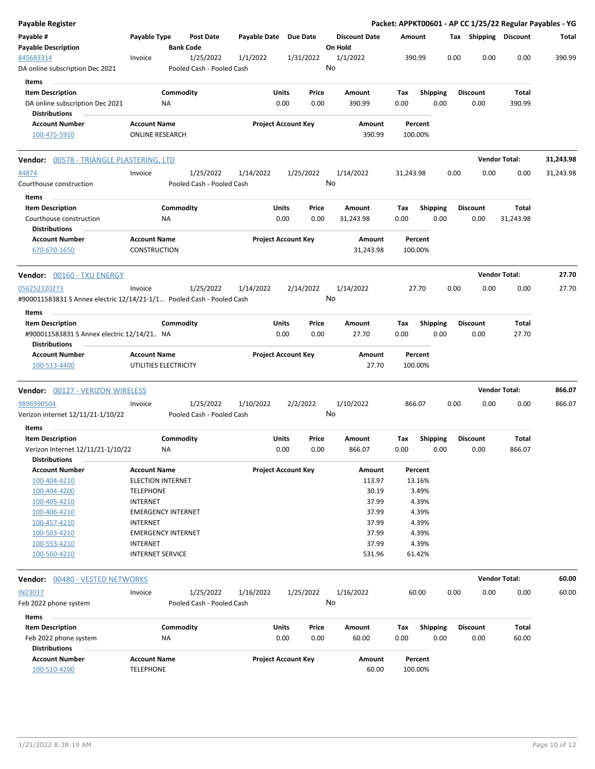| Payable Register                                                                              |                                            |                           |                           |                       |                            |               |                                 |                    |                         |      |                       |                      | Packet: APPKT00601 - AP CC 1/25/22 Regular Payables - YG |
|-----------------------------------------------------------------------------------------------|--------------------------------------------|---------------------------|---------------------------|-----------------------|----------------------------|---------------|---------------------------------|--------------------|-------------------------|------|-----------------------|----------------------|----------------------------------------------------------|
| Payable #<br><b>Payable Description</b>                                                       | Payable Type                               | <b>Bank Code</b>          | <b>Post Date</b>          | Payable Date Due Date |                            |               | <b>Discount Date</b><br>On Hold | Amount             |                         |      | Tax Shipping Discount |                      | Total                                                    |
| 845683314                                                                                     | Invoice                                    |                           | 1/25/2022                 | 1/1/2022              | 1/31/2022                  |               | 1/1/2022                        | 390.99             |                         | 0.00 | 0.00                  | 0.00                 | 390.99                                                   |
| DA online subscription Dec 2021                                                               |                                            |                           | Pooled Cash - Pooled Cash |                       |                            |               | No                              |                    |                         |      |                       |                      |                                                          |
| Items                                                                                         |                                            |                           |                           |                       |                            |               |                                 |                    |                         |      |                       |                      |                                                          |
| <b>Item Description</b>                                                                       |                                            | Commodity                 |                           |                       | Units                      | Price         | Amount                          | Tax                | Shipping                |      | <b>Discount</b>       | Total                |                                                          |
| DA online subscription Dec 2021                                                               |                                            | <b>NA</b>                 |                           |                       | 0.00                       | 0.00          | 390.99                          | 0.00               | 0.00                    |      | 0.00                  | 390.99               |                                                          |
| <b>Distributions</b>                                                                          |                                            |                           |                           |                       |                            |               |                                 |                    |                         |      |                       |                      |                                                          |
| <b>Account Number</b>                                                                         | <b>Account Name</b>                        |                           |                           |                       | <b>Project Account Key</b> |               | Amount                          | Percent            |                         |      |                       |                      |                                                          |
| 100-475-5910                                                                                  |                                            | <b>ONLINE RESEARCH</b>    |                           |                       |                            |               | 390.99                          | 100.00%            |                         |      |                       |                      |                                                          |
| Vendor: 00578 - TRIANGLE PLASTERING, LTD                                                      |                                            |                           |                           |                       |                            |               |                                 |                    |                         |      |                       | <b>Vendor Total:</b> | 31,243.98                                                |
| 44874                                                                                         | Invoice                                    |                           | 1/25/2022                 | 1/14/2022             | 1/25/2022                  |               | 1/14/2022                       | 31,243.98          |                         | 0.00 | 0.00                  | 0.00                 | 31,243.98                                                |
| Courthouse construction                                                                       |                                            |                           | Pooled Cash - Pooled Cash |                       |                            |               | No                              |                    |                         |      |                       |                      |                                                          |
| Items<br><b>Item Description</b>                                                              |                                            | Commodity                 |                           |                       | Units                      | Price         | Amount                          | Tax                | <b>Shipping</b>         |      | <b>Discount</b>       | Total                |                                                          |
| Courthouse construction<br><b>Distributions</b>                                               |                                            | ΝA                        |                           |                       | 0.00                       | 0.00          | 31,243.98                       | 0.00               | 0.00                    |      | 0.00                  | 31,243.98            |                                                          |
| <b>Account Number</b><br>670-670-1650                                                         | <b>Account Name</b><br><b>CONSTRUCTION</b> |                           |                           |                       | <b>Project Account Key</b> |               | Amount<br>31,243.98             | Percent<br>100.00% |                         |      |                       |                      |                                                          |
| <b>Vendor:</b> 00160 - TXU ENERGY                                                             |                                            |                           |                           |                       |                            |               |                                 |                    |                         |      |                       | <b>Vendor Total:</b> | 27.70                                                    |
| 056252320273                                                                                  | Invoice                                    |                           | 1/25/2022                 | 1/14/2022             | 2/14/2022                  |               | 1/14/2022                       | 27.70              |                         | 0.00 | 0.00                  | 0.00                 | 27.70                                                    |
| #900011583831 S Annex electric 12/14/21-1/1 Pooled Cash - Pooled Cash                         |                                            |                           |                           |                       |                            |               | No                              |                    |                         |      |                       |                      |                                                          |
| Items                                                                                         |                                            |                           |                           |                       |                            |               |                                 |                    |                         |      |                       |                      |                                                          |
| <b>Item Description</b><br>#900011583831 S Annex electric 12/14/21 NA<br><b>Distributions</b> |                                            | Commodity                 |                           |                       | Units<br>0.00              | Price<br>0.00 | Amount<br>27.70                 | Tax<br>0.00        | <b>Shipping</b><br>0.00 |      | Discount<br>0.00      | Total<br>27.70       |                                                          |
| <b>Account Number</b>                                                                         | <b>Account Name</b>                        |                           |                           |                       | <b>Project Account Key</b> |               | Amount                          | Percent            |                         |      |                       |                      |                                                          |
| 100-513-4400                                                                                  |                                            | UTILITIES ELECTRICITY     |                           |                       |                            |               | 27.70                           | 100.00%            |                         |      |                       |                      |                                                          |
| Vendor: 00127 - VERIZON WIRELESS                                                              |                                            |                           |                           |                       |                            |               |                                 |                    |                         |      |                       | <b>Vendor Total:</b> | 866.07                                                   |
| 9896990504                                                                                    | Invoice                                    |                           | 1/25/2022                 | 1/10/2022             | 2/2/2022                   |               | 1/10/2022                       | 866.07             |                         | 0.00 | 0.00                  | 0.00                 | 866.07                                                   |
| Verizon internet 12/11/21-1/10/22                                                             |                                            |                           | Pooled Cash - Pooled Cash |                       |                            |               | No                              |                    |                         |      |                       |                      |                                                          |
| Items                                                                                         |                                            |                           |                           |                       |                            |               |                                 |                    |                         |      |                       |                      |                                                          |
| <b>Item Description</b>                                                                       |                                            | Commodity                 |                           |                       | Units                      | Price         | Amount                          | Tax                | <b>Shipping</b>         |      | <b>Discount</b>       | Total                |                                                          |
| Verizon Internet 12/11/21-1/10/22<br><b>Distributions</b>                                     |                                            | ΝA                        |                           |                       | 0.00                       | 0.00          | 866.07                          | 0.00               | 0.00                    |      | 0.00                  | 866.07               |                                                          |
| <b>Account Number</b>                                                                         | <b>Account Name</b>                        |                           |                           |                       | <b>Project Account Key</b> |               | Amount                          | Percent            |                         |      |                       |                      |                                                          |
| 100-404-4210                                                                                  |                                            | <b>ELECTION INTERNET</b>  |                           |                       |                            |               | 113.97                          | 13.16%             |                         |      |                       |                      |                                                          |
| 100-404-4200                                                                                  | <b>TELEPHONE</b>                           |                           |                           |                       |                            |               | 30.19                           |                    | 3.49%                   |      |                       |                      |                                                          |
| 100-405-4210                                                                                  | <b>INTERNET</b>                            |                           |                           |                       |                            |               | 37.99                           |                    | 4.39%                   |      |                       |                      |                                                          |
| 100-406-4210                                                                                  |                                            | <b>EMERGENCY INTERNET</b> |                           |                       |                            |               | 37.99                           |                    | 4.39%                   |      |                       |                      |                                                          |
| 100-457-4210                                                                                  | <b>INTERNET</b>                            |                           |                           |                       |                            |               | 37.99                           |                    | 4.39%                   |      |                       |                      |                                                          |
| 100-503-4210                                                                                  |                                            | <b>EMERGENCY INTERNET</b> |                           |                       |                            |               | 37.99                           |                    | 4.39%                   |      |                       |                      |                                                          |
| 100-553-4210                                                                                  | <b>INTERNET</b>                            |                           |                           |                       |                            |               | 37.99                           |                    | 4.39%                   |      |                       |                      |                                                          |
| 100-560-4210                                                                                  |                                            | <b>INTERNET SERVICE</b>   |                           |                       |                            |               | 531.96                          | 61.42%             |                         |      |                       |                      |                                                          |
| <b>Vendor:</b> 00480 - VESTED NETWORKS                                                        |                                            |                           |                           |                       |                            |               |                                 |                    |                         |      |                       | <b>Vendor Total:</b> | 60.00                                                    |
| <b>IN23037</b>                                                                                | Invoice                                    |                           | 1/25/2022                 | 1/16/2022             | 1/25/2022                  |               | 1/16/2022                       | 60.00              |                         | 0.00 | 0.00                  | 0.00                 | 60.00                                                    |
| Feb 2022 phone system                                                                         |                                            |                           | Pooled Cash - Pooled Cash |                       |                            |               | No                              |                    |                         |      |                       |                      |                                                          |
| Items                                                                                         |                                            |                           |                           |                       |                            |               |                                 |                    |                         |      |                       |                      |                                                          |
| <b>Item Description</b>                                                                       |                                            | Commodity                 |                           |                       | Units                      | Price         | Amount                          | Tax                | <b>Shipping</b>         |      | <b>Discount</b>       | Total                |                                                          |
| Feb 2022 phone system                                                                         |                                            | ΝA                        |                           |                       | 0.00                       | 0.00          | 60.00                           | 0.00               | 0.00                    |      | 0.00                  | 60.00                |                                                          |
| <b>Distributions</b>                                                                          |                                            |                           |                           |                       |                            |               |                                 |                    |                         |      |                       |                      |                                                          |
| <b>Account Number</b><br>100-510-4200                                                         | <b>Account Name</b><br><b>TELEPHONE</b>    |                           |                           |                       | <b>Project Account Key</b> |               | Amount<br>60.00                 | Percent<br>100.00% |                         |      |                       |                      |                                                          |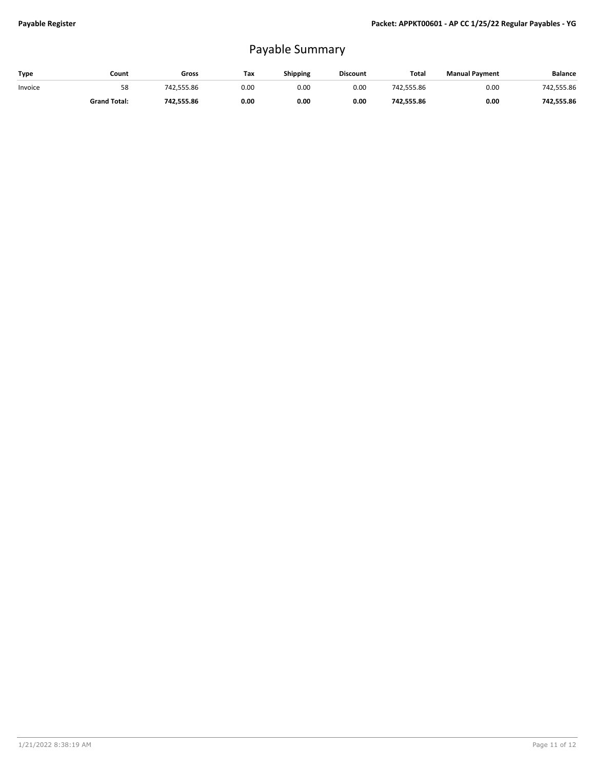## Payable Summary

| Type    | Count               | Gross      | Tax  | Shipping | <b>Discount</b> | Total      | <b>Manual Payment</b> | <b>Balance</b> |
|---------|---------------------|------------|------|----------|-----------------|------------|-----------------------|----------------|
| Invoice | 58                  | 742.555.86 | 0.00 | 0.00     | 0.00            | 742.555.86 | 0.00                  | 742,555.86     |
|         | <b>Grand Total:</b> | 742.555.86 | 0.00 | 0.00     | 0.00            | 742.555.86 | 0.00                  | 742.555.86     |